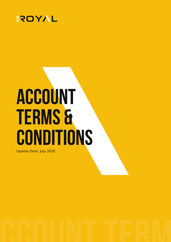

# **Account Terms & Conditions**

Update Date: July 2020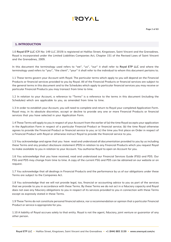# **AYOT!**

#### **1. INTRODUCTION**

1.0 **Royal ETP LLC** (CR No: 149 LLC 2019) is registered at Halifax Street, Kingstown, Saint Vincent and the Grenadines. Royal is incorporated under the Limited Liabilities Companies Act, Chapter 151 of the Revised Laws of Saint Vincent and the Grenadines, 2009.

In this document the terminology used refers to "we'', ''us'', ''our'' it shall refer to **Royal ETP LLC** and where the terminology used refers to ''you'', ''the client'', ''your'' it shall refer to the individual to whom this document pertains to.

1.1 These terms govern your Account with Royal. The particular terms which apply to you will depend on the Financial Products or financial services provided to you by Royal. All of the Financial Products or financial services are subject to the general terms in this document and to the Schedules which apply to particular financial services you may receive or particular Financial Products you may transact from time to time.

1.2 In relation to your Account, a reference to "Terms" is a reference to the terms in this document (including the Schedules) which are applicable to you, as amended from time to time.

1.3 In order to establish your Account, you will need to complete and return to Royal your completed Application Form. Royal may, in its absolute discretion, accept or decline to provide any one or more Financial Products or financial services that you have selected in your Application Form.

1.4 These Terms will apply to you in respect of your Account from the earlier of (a) the time Royal accepts your application in the Application Form in respect of a particular Financial Product or financial service; (b) the time Royal otherwise agrees to provide the Financial Product or financial service to you; or (c) the time you first place an Order in respect of a Financial Product with Royal or otherwise instruct Royal to provide the financial service to you.

1.5 You acknowledge and agree that you have read and understood all documentation provided to you by us including these Terms and any product disclosure statement (PDS) in relation to any Financial Products which you request Royal to make available to you in relation to your Account. You authorise Royal to open an Account for you.

1.6 You acknowledge that you have received, read and understood our Financial Services Guide (FSG) and PDS. Our FSG and PDS may change from time to time. A copy of the current FSG and PDS can be obtained on our website or on request.

1.7 You acknowledge that all dealings in Financial Products and the performance by us of our obligations under these Terms are subject to the Companies Act.

1.8 You acknowledge that we will not provide legal, tax, financial or accounting advice to you as part of the services that we provide to you in accordance with these Terms. By these Terms we do not act in a fiduciary capacity and Royal does not owe any fiduciary obligations to you in respect of its services provided to you in connection with these Terms except as expressly stated in these Terms.

1.9 These Terms do not constitute personal financial advice, nor a recommendation or opinion that a particular Financial Product or service is appropriate for you.

1.10 A liability of Royal accrues solely to that entity. Royal is not the agent, fiduciary, joint venture or guarantor of any other person.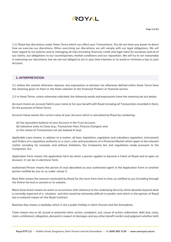

1.11 Royal has discretions under these Terms which can affect your Transactions. You do not have any power to direct how we exercise our discretions. When exercising our discretions, we will comply with our legal obligations. We will have regard to our policies and to managing all risks (including financial, credit and legal risks) for ourselves and all of our clients, our obligations to our counterparties, market conditions and our reputation. We will try to act reasonably in exercising our discretions, but we are not obliged to act in your best interests or to avoid or minimize a loss in your Account.

#### **2. INTERPRETATION**

2.1 Unless the context otherwise requires, any expressions or phrases not otherwise defined within these Terms have the meaning given to them in the Rules relevant to the Financial Product or financial service.

2.2 In these Terms, unless otherwise indicated, the following words and expressions have the meaning set out below:

Account means an account held in your name or for your benefit with Royal including all Transactions recorded in them, for the purposes of these Terms.

Account Value means the current value of your Account which is calculated by Royal by combining:

- (a) the equivalent balance of your Account in the Trust Account;
- (b) indicative costs to Close (e.g., Transaction Fees, Finance Charges); and
- (c) the values of Transactions not yet booked (if any).

Applicable Laws means, in relation to a matter, all laws, legislation, regulation and subsidiary regulation, instruments and Orders of a regulatory authority or a court, rules and procedures of a Financial Market which apply to the relevant matter including for example, and without limitation, the Companies Act and regulations made pursuant to the Companies Act.

Application Form means the application form by which a person applies to become a Client of Royal and to open an Account. It can be in electronic form.

Authorised Person means the person (if any) described as your authorised agent in the Application Form or another person notified by you to us under clause 5.

Base Rate means the amount nominated by Royal for this term from time to time, as notified to you (including through the Online Service) or posted on its website.

Black Swan Event means an event or occurrence with reference to the Underlying Security which deviates beyond what is normally expected of a situation and that would be extremely difficult to predict and which in the opinion of Royal has a material impact on the Royal Contract.

Business Day means a weekday which is not a public holiday in Saint Vincent and the Grenadines.

Claim means any or all, actual or potential claim, action, complaint, suit, cause of action, arbitration, debt due, costs, claim, entitlement, allegation, demand in respect of damages and any other benefit verdict and judgment whether both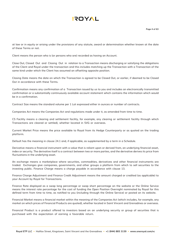# **AYOT!**

at law or in equity or arising under the provisions of any statute, award or determination whether known at the date of these Terms or not.

Client means the person who is (or persons who are) recorded as having an Account.

Close Out, Closed Out and Closing Out in relation to a Transaction means discharging or satisfying the obligations of the Client and Royal under the transaction and this includes matching up the Transaction with a Transaction of the same kind under which the Client has assumed an offsetting opposite position.

Closing Date means the date on which the Transaction is agreed to be Closed Out, or earlier, if deemed to be Closed Out in accordance with these Terms.

Confirmation means any confirmation of a Transaction issued by us to you and includes an electronically transmitted confirmation or a substantially continuously available account statement which contains the information which would be in a confirmation.

Contract Size means the standard volume per 1 Lot expressed either in ounces or number of contracts.

Companies Act means the Companies Act and regulations made under it, as amended from time to time.

CS Facility means a clearing and settlement facility, for example, any clearing or settlement facility through which Transactions are cleared or settled), whether located in SVG or overseas.

Current Market Price means the price available to Royal from its Hedge Counterparty or as quoted on the trading platform.

Default has the meaning in clause 24.1 and, if applicable, as supplemented by a term in a Schedule.

Derivative means a financial instrument with a value that is reliant upon or derived from, an underlying financial asset, index or security. The derivative itself is a contract between two or more parties, and the derivative derives its price from fluctuations in the underlying asset.

An exchange means a marketplace where securities, commodities, derivatives and other financial instruments are traded. Exchanges give companies, governments, and other groups a platform from which to sell securities to the investing public. Finance Charge means a charge payable in accordance with clause 13.

Finance Charge Adjustment and Finance Credit Adjustment means the amount charged or credited (as applicable) to your Account by Royal for Transactions.

Finance Rate displayed as a swap long percentage or swap short percentage on the website or the Online Service means the interest rate percentage for the cost of funding the Open Position Overnight nominated by Royal for this defined term from time to time, as notified to you (including through the Online Service) or posted on its website.

Financial Market means a financial market within the meaning of the Companies Act (which includes, for example, any market on which prices of Financial Products are quoted), whether located in Saint Vincent and Grenadines or overseas.

Financial Product is a product offered to investors based on an underlying security or group of securities that is purchased with the expectation of earning a favorable return.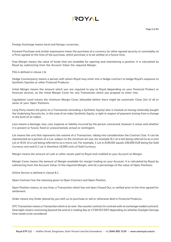

Foreign Exchange means local and foreign currencies.

Forward Purchase and similar expressions mean the purchase of a currency (or other agreed security or commodity at a Price agreed at the time of the purchase, which purchase is to be settled at a future time.

Free Margin means the value of funds that are available for opening and maintaining a position. It is calculated by Royal by subtracting from the Account Value the required Margin.

FSG is defined in clause 1.6.

Hedge Counterparty means a person with whom Royal may enter into a hedge contract to hedge Royal's exposure to Synthetic Equities or other Financial Products.

Initial Margin means the amount which you are required to pay to Royal (depending on your Financial Product or financial service), as the initial Margin Cover for any Transaction which you propose to enter into.

Liquidation Level means the minimum Margin Cover allowable before there might be automatic Close Out of all or some of your Open Positions.

Long Party means the party to a Transaction (including a Synthetic Equity) who is treated as having notionally bought the Underlying Security (or, in the case of an index Synthetic Equity, a right in respect of payment arising from a change in the level of an index).

Loss means a damage, loss, cost, expense or liability incurred by the person concerned, however it arises and whether it is present or future, fixed or unascertained, actual or contingent.

Lot means the unit that represents the volume of a Transaction, taking into consideration the Contract Size. It can be represented as a portion of a Lot, subject to the minimum lot size, for example (0.1 of a lot) being referred to as a mini Lot or (0.01 of a Lot) being referred to as a micro Lot. For example, 1 Lot in EURUSD equals 100,000 EUR being the Sold Currency unit and 0.1 Lot is therefore 10,000 units of Sold Currency.

Margin means the amount of cash or other assets paid to Royal and credited to your Account as Margin.

Margin Cover means the amount of Margin available for margin trading on your Account. It is calculated by Royal by subtracting from the Account Value: (i) the required Margin; and (ii) a percentage of the value of Open Positions.

Online Service is defined in clause 8.1.

Open Contract has the meaning given to Open Contract and Open Position.

Open Position means, at any time, a Transaction which has not been Closed Out, or settled prior to the time agreed for settlement.

Order means any Order placed by you with us to purchase or sell or otherwise deal in Financial Products.

OTC Transaction means a Transaction which is an over- the-counter contract (in contrast with an exchange-traded contract). Overnight means continuing beyond the end of a trading day at 17:00 EST/EDT depending on whether Daylight Savings time needs to be considered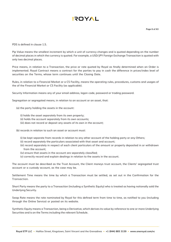

PDS is defined in clause 1.5.

Pip Value means the smallest increment by which a unit of currency changes and is quoted depending on the number of decimal places in which the currency is quoted. For example, a USD/JPY Foreign Exchange Transaction is quoted with only two decimal places.

Price means, in relation to a Transaction, the price or rate quoted by Royal as finally determined when an Order is implemented. Royal Contract means a contract for the parties to pay in cash the difference in prices/index level of securities on the Terms, whose term continues until the Closing Date.

Rules, in relation to a Financial Market or a CS Facility, means the operating rules, procedures, customs and usages of the of the Financial Market or CS Facility (as applicable).

Security Information means any of your email address, logon code, password or trading password.

Segregation or segregated means, in relation to an account or an asset, that:

(a) the party holding the assets in the account:

(i) holds the asset separately from its own property;

(ii) holds the account separately from its own accounts;

(iii) does not record or deposit any assets of its own in the account;

(b) records in relation to such an asset or account must:

(i) be kept separate from records in relation to any other account of the holding party or any Others;

(ii) record separately the particulars associated with that asset and account;

(iii) record separately in respect of each client particulars of the amount or property deposited in or withdrawn from the account;

- (iv) ensure that assets in the account are separately classified;
- (v) correctly record and explain dealings in relation to the assets in the account.

The account must be described as the Trust Account, the Client moneys trust account, the Clients' segregated trust account or a custody account, as the case may be.

Settlement Time means the time by which a Transaction must be settled, as set out in the Confirmation for the Transaction.

Short Party means the party to a Transaction (including a Synthetic Equity) who is treated as having notionally sold the Underlying Security.

Swap Rate means the rate nominated by Royal for this defined term from time to time, as notified to you (including through the Online Service) or posted on its website.

Synthetic Equity means a Transaction, being a Derivative, which derives its value by reference to one or more Underlying Securities and is on the Terms including the relevant Schedule.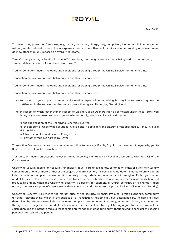# **AYOT!**

Tax means any present or future tax, levy, impost, deduction, charge, duty, compulsory loan or withholding (together with any related interest, penalty, fine or expense in connection with any of them) levied or imposed by any Government agency, other than any imposed on overall net income.

Term Currency means, in Foreign Exchange Transactions, the foreign currency that is being sold to another party. Terms is defined in clause 1.2 and see also clause 2.

Trading Conditions means the operating conditions for trading through the Online Service from time to time.

Transaction means any contract between you and Royal as principal:

Trading Conditions means the operating conditions for trading through the Online Service from time to time.

Transaction means any contract between you and Royal as principal:

- (a) to pay, or to agree to pay, an amount calculated in respect of an Underlying Security in one currency against the settlement in the same or another currency (or other agreed Underlying Security); and
- (b) in respect of which (other than in respect of Closing Out an Open Position as permitted under these Terms) you have, or you are taken to have, agreed (whether orally, electronically or in writing) to:
	- (i) the specification of the Underlying Securities involved;
	- (ii) the amount of Underlying Securities involved and, if applicable, the amount of the specified currency involved; (iii) the Price;
	- (iv) Transaction Fee and Finance Charges; and
	- (v) any other features agreed by Royal.

Transaction Fee means the fee or commission from time to time specified by Royal to be the amount payable by you to Royal in respect of each Transaction.

Trust Account means an account (however named or styled) maintained by Royal in accordance with Part 7.8 of the Companies Act.

Underlying Security means any security, Financial Product, Foreign Exchange, commodity, index or other item (or any combination of one or more of those) the subject of a Transaction, including a value determined by reference to an index or an index multiplied by an amount of currency, in any jurisdiction, whether or not through an Exchange or other market facility. References in these Terms to an Underlying Security which is a share or other similar equity financial product also apply when the Underlying Security is different, for example, a futures contract, an exchange traded option, a currency (or pairs of currencies) (with any necessary adaptation to the particular kind of Underlying Security).

Underlying Security Price means the market price of the security, Financial Product, Foreign Exchange, commodity (or other relevant thing) which is the subject of a Transaction, including a value determined by, including a value determined by reference to an index or an index multiplied by an amount of currency, in any jurisdiction, whether or not through an exchange or other market facility, in any case as calculated by Royal, having regard to the purposes of the calculation and the intent to make a reasonable determination in good faith but without having to consider the specific personal interests of any person.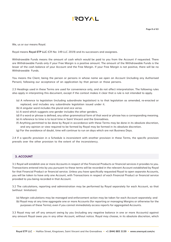# **AYOT!**

We, us or our means Royal.

Royal means **Royal ETP LLC** (CR No: 149 LLC 2019) and its successors and assignees.

Withdrawable Funds means the amount of cash which would be paid to you from the Account if requested. There are Withdrawable Funds only if your Free Margin is a positive amount. The amount of the Withdrawable Funds is the lesser of the cash balance of your Account and the Free Margin. If your Free Margin is not positive, there will be no Withdrawable Funds.

You means the Client, being the person or persons in whose name we open an Account (including any Authorised Person), following our acceptance of an application by that person or those persons.

2.3 Headings used in these Terms are used for convenience only, and do not affect interpretation. The following rules also apply in interpreting this document, except if the context makes it clear that a rule is not intended to apply.

- (a) A reference to legislation (including subordinate legislation) is to that legislation as amended, re-enacted or replaced, and includes any subordinate legislation issued under it.
- (b) A singular word includes the plural and vice versa.
- (c) A word which suggests one gender includes the other genders.
- (d) If a word or phrase is defined, any other grammatical form of that word or phrase has a corresponding meaning.
- (e) A reference to time is to local time in Saint Vincent and the Grenadines.
- (f) Anything permitted to be done by Royal in accordance with these Terms may be done in its absolute discretion, and any opinion or view required to be formed by Royal may be formed in its absolute discretion.
- (g) For the avoidance of doubt, time will continue to run on days which are not Business Days.

2.4 If a specific provision in a Schedule is inconsistent with another provision in these Terms, the specific provision prevails over the other provision to the extent of the inconsistency.

#### **3. ACCOUNT**

3.1 Royal will establish one or more Accounts in respect of the Financial Products or financial services it provides to you. Transactions entered into by you pursuant to these terms will be recorded in the relevant Account established by Royal for that Financial Product or financial service. Unless you have specifically requested Royal to open separate Accounts, you will be taken to have only one Account, with Transactions in respect of each Financial Product or financial service provided to you being recorded in that Account.

3.2 The calculations, reporting and administration may be performed by Royal separately for each Account, so that (without limitation):

- (a) Margin calculations may be managed and enforcement action may be taken for each Account separately; and
- (b) Royal may at any time aggregate one or more Accounts (for reporting or managing Margins or otherwise for the purposes of these Terms), even if you cannot immediately access reports for aggregated Accounts.

3.3 Royal may set off any amount owing by you (including any negative balance in one or more Accounts) against any amount Royal owes you in any other Account, without notice. Royal may choose, in its absolute discretion, which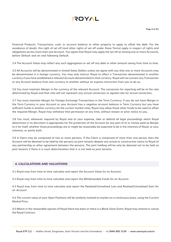

Financial Products, Transactions, cash, or account balance or other property to apply to offset the debt. For the avoidance of doubt, this right of set off (and other rights of set off under these Terms) apply in respect of rights and obligations across more than one Account. You agree that Royal may apply the set off as among one or more Accounts, before Default and on and following Default.

3.4 The Account Value may reflect any such aggregation or set off any debt or other amount owing from time to time.

3.5 All Accounts will be denominated in United Sates Dollars unless we agree with you that one or more Accounts may be denominated in a foreign currency. You may only instruct Royal to effect a Transaction denominated in another currency if you have established a relevant Account denominated in that currency. Royal will not convert any Transaction or any Account balance from one currency to another without an express instruction from you to do so.

3.6 You must maintain Margin in the currency of the relevant Account. The conversion for reporting will be at the rate determined by Royal and that rate will not represent any actual conversion or agreed rate for actual conversion.

3.7 You must maintain Margin for Foreign Exchange Transactions in the Term Currency. If you do not have Margin in the Term Currency in your Account or your Account has a negative account balance in Term Currency but you have sufficient funds in another currency (at the current market rate), Royal may allow those other funds to be used to offset the required Margin. Royal may withdraw that permission at any time, without reason or prior notice to you.

3.8 You must, whenever required by Royal and at your expense, take or defend all legal proceedings which Royal determines in its discretion is appropriate for the protection of the Account (or any part of it) or money paid as Margin to it for itself, whether those proceedings are or might be reasonably be expected to be in the interests of Royal, or your interests, or partly both.

3.9 A Client may be comprised of two or more persons. If the Client is comprised of more than one person then the Account will be deemed to be held by the persons as joint tenants despite any actual or constructive notice to Royal of any partnership or other agreement between the persons. The joint holding will be only be deemed not to be held as joint tenants if there is a court determination that it is not held as joint tenants.

#### **4. CALCULATIONS AND VALUATIONS**

4.1 Royal may from time to time calculate and report the Account Value for an Account.

4.2 Royal may from time to time calculate and report the Withdrawable Funds for an Account.

4.3 Royal may from time to time calculate and report the Realised/Unrealised Loss and Realised/Unrealised Gain for an Account.

4.4 The current value of your Open Positions will be similarly marked to market on a continuous basis, using the Current Market Price.

4.5 Where in the reasonable opinion of Royal there has been or there is a Black Swan Event, Royal may amend or cancel the Royal Contract.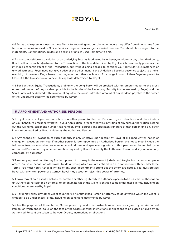

4.6 Terms and expressions used in these Terms for reporting and calculating amounts may differ from time to time from terms or expressions used in Online Services usage or desk usage or market practice. You should have regard to the statements, Confirmations, guides and dealing practices used from time to time.

4.7 If the composition or calculation of an Underlying Security is adjusted by its issuer, regulator or any other third party, Royal will make such adjustment to the Transaction at the time determined by Royal which reasonably preserves the intended economic effect of the Transaction, but without being obliged to consider your particular circumstances or any adjustments. Royal need not give notice of the adjustment. If the Underlying Security becomes subject to a takeover bid, a take-over offer, scheme of arrangement or other mechanism for change in control, then Royal may elect to Close Out the Transaction on a new Closing Date determined by Royal.

4.8 For Synthetic Equity Transactions, ordinarily the Long Party will be credited with an amount equal to the gross unfranked amount of any dividend payable to the holder of the Underlying Security (as determined by Royal) and the Short Party will be debited with an amount equal to the gross unfranked amount of any dividend payable to the holder of the Underlying Security (as determined by Royal).

#### **5. APPOINTMENT AND AUTHORISED PERSONS**

5.1 Royal may accept your authorisation of another person (Authorised Person) to give instructions and place Orders on your behalf. You must notify Royal in your Application Form or otherwise in writing of any such authorisation, setting out the full name, telephone number, fax number, email address and specimen signature of that person and any other information required by Royal to identify the Authorised Person.

5.2 Any change or revocation of such authority is only effective upon receipt by Royal of a signed written notice of change or revocation from you. If another person is later appointed an Authorised Person, the notice must include the full name, telephone number, fax number, email address and specimen signature of that person and be verified by an Authorised Person and any other information required by Royal to identify the Authorised Person and, if you are a body corporate, by a director.

5.3 You may appoint an attorney (under a power of attorney in the relevant jurisdiction) to give instructions and place orders on your behalf or otherwise to do anything which you are entitled to do in connection with or under these Terms. You must notify Royal in writing of any such appointment setting out the attorney's details. You must provide Royal with a written power of attorney; Royal may accept or reject this power of attorney.

5.4 Royal may allow a Client which is a corporation or other legal entity to authorise a person (who is by that authorisation an Authorised Person) or an attorney to do anything which the Client is entitled to do under these Terms, including on conditions determined by Royal.

5.5 Royal may allow any other Client to authorise its Authorised Person or attorney to do anything which the Client is entitled to do under these Terms, including on conditions determined by Royal.

5.6 For the purposes of these Terms, Orders placed by, and other instructions or directions given by, an Authorised Person (or which appear to us on the face of the Orders or other instructions or directions to be placed or given by an Authorised Person) are taken to be your Orders, instructions or directions.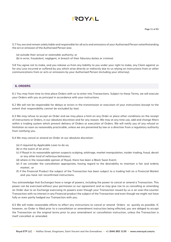# **AYOT!**

5.7 You are and remain solely liable and responsible for all acts and omissions of your Authorised Person notwithstanding the act or omission of the Authorised Person was:

(a) outside their actual or ostensible authority; or

(b) in error, fraudulent, negligent, in breach of their fiduciary duties or criminal.

5.8 You agree not to make, and you release us from any liability to you under your right to make, any Claim against us for any Loss incurred or suffered by you which arise directly or indirectly due to us relying on instructions from or other communications from or acts or omissions by your Authorised Person (including your attorney).

#### **6. ORDERS**

6.1 You may from time to time place Orders with us to enter into Transactions. Subject to these Terms, we will execute your Orders with you as principal in accordance with your instructions.

6.2 We will not be responsible for delays or errors in the transmission or execution of your instructions (except to the extent that responsibility cannot be excluded by law).

6.3 We may refuse to accept an Order and we may place a limit on any Order or place other conditions on the receipt of instructions or Orders, in our absolute discretion and for any reason. We may at any time use, add and change filters within a trading system which prevent delivery of Orders or execution of Orders. We will notify you of any refusal or limitation as soon as reasonably practicable, unless we are prevented by law or a direction from a regulatory authority from notifying you.

6.4 We may cancel or amend an Order at our absolute discretion:

- (a) if required by Applicable Laws to do so;
- (b) in the event of an error;
- (c) if Royal in its reasonable opinion suspects scalping, arbitrage, market manipulation, insider trading, fraud, deceit or any other kind of nefarious behaviour;
- (d) where in the reasonable opinion of Royal, there has been a Black Swan Event;
- (e) if we consider the cancellation appropriate, having regard to the desirability to maintain a fair and orderly market; or
- (f) if the Financial Product the subject of the Transaction has been subject to a trading halt on a Financial Market and you have not reconfirmed instructions.

You acknowledge that Exchanges have a range of powers, including the power to cancel or amend a Transaction. This power can be exercised without your permission or our agreement and so may give rise to us cancelling or amending an Order due to an Exchange exercising its powers even though your Transaction issued by us is an over-the-counter Transaction with no interest in any Financial product the subject of the Transaction and even though we might not have fully or even partly hedged our Transaction with you.

6.5 We will make reasonable efforts to effect any instructions to cancel or amend Orders as quickly as possible. If, however, an Order is filled prior to a cancellation or amendment instruction being effected, you are obliged to accept the Transaction on the original terms prior to your amendment or cancellation instruction, unless the Transaction is itself cancelled or amended.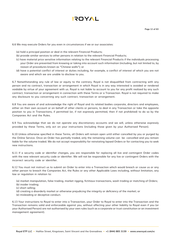

6.6 We may execute Orders for you even in circumstances if we or our associates:

- (a) hold a principal position or deal in the relevant Financial Products;
- (b) provide similar services to other persons in relation to the relevant Financial Products;
- (c) have material price sensitive information relating to the relevant Financial Products if the individuals processing your Order are prevented from knowing or taking into account such information (including, but not limited to, by reason of procedures known as "Chinese walls"); or
- (d) have a potential conflict of interest or duties including, for example, a conflict of interest of which you are not aware and which we are unable to disclose to you.

6.7 Notwithstanding any rule of law or equity to the contrary, Royal is not disqualified from contracting with any person and no contract, transaction or arrangement in which Royal is in any way interested is avoided or rendered voidable by virtue of your agreement with us. Royal is not liable to account to you for any profit realized by any such contract, transaction or arrangement in connection with these Terms or a Transaction. Royal is not required to make any disclosure to you concerning any such contract, transaction or arrangement.

6.8 You are aware of and acknowledge the right of Royal and its related bodies corporate, directors and employees, either on their own account or on behalf of other clients or persons, to deal in any Transaction or take the opposite position to you in Transactions, if permitted (or, if not expressly permitted, then if not prohibited) to do so by the Companies Act and the Rules.

6.9 You acknowledge that we do not operate any discretionary accounts and we will, unless otherwise expressly provided by these Terms, only act on your instructions (including those given by your Authorised Person).

6.10 Unless otherwise specified in these Terms, all Orders will remain open until either cancelled by you or purged by the Online Service. Once an Order has partially traded, only the remaining volume can be cancelled and you remain liable for the volume traded. We do not accept responsibility for reinstating lapsed Orders or for contacting you to seek new instructions.

6.11 If a security code or identifier changes, you are responsible for replacing all live and contingent Order codes with the new relevant security code or identifier. We will not be responsible for any live or contingent Orders with the incorrect security code or identifier.

6.12 You must not instruct us to submit an Order to enter into a Transaction which would breach or cause us or any other person to breach the Companies Act, the Rules or any other Applicable Laws including, without limitation, any law or regulation in relation to:

- (a) market manipulation, false trading, market rigging, fictitious transactions, wash trading or matching of Orders;
- (b) insider trading;
- (c) short selling;
- (d) creating a disorderly market or otherwise prejudicing the integrity or deficiency of the market; or
- (e) misleading or deceptive conduct.

6.13 Your instructions to Royal to enter into a Transaction, your Order to Royal to enter into the Transaction and the Transaction remains valid and enforceable against you, without affecting your other liability to Royal even if you (or your Authorised Person) are not authorised by your own rules (such as a corporate or trust constitution or an investment management agreement).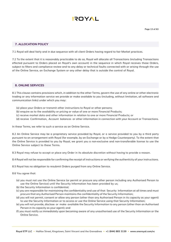

#### **7. ALLOCATION POLICY**

7.1 Royal will deal fairly and in due sequence with all client Orders having regard to fair Market practices.

7.2 To the extent that it is reasonably practicable to do so, Royal will allocate all Transactions (including Transactions effected pursuant to Orders placed on Royal's own account) in the sequence in which Royal receives those Orders, subject to filters and compliance review and to any delay or technical faults connected with or arising through the use of the Online Service, an Exchange System or any other delay that is outside the control of Royal.

#### **8. ONLINE SERVICES**

8.1 This clause contains provisions which, in addition to the other Terms, govern the use of any online or other electronic trading or any information service we provide or make available to you (including, without limitation, all software and communication links) under which you may:

- (a) place your Orders or transmit other instructions to Royal or other persons;
- (b) enquire as to the availability or pricing or value of one or more Financial Products;
- (c) receive market data and other information in relation to one or more Financial Products; or
- (d) receive Confirmation, Account balances or other information in connection with your Account or Transactions.

In these Terms, we refer to such a service as an Online Service.

8.2 An Online Service may be a proprietary service provided by Royal, or a service provided to you by a third party pursuant to an arrangement with Royal (for example, by an Exchange or by a Hedge Counterparty). To the extent that the Online Service is provided to you by Royal, we grant you a non-exclusive and non-transferable license to use the Online Service subject to these Terms.

8.3 Royal may refuse to accept or place any Order in its absolute discretion without having to provide a reason.

8.4 Royal will not be responsible for confirming the receipt of instructions or verifying the authenticity of your instructions.

- 8.5 Royal has no obligation to resubmit Orders purged from any Online Service.
- 8.6 You agree that:
	- (a) you must not use the Online Service (or permit or procure any other person including any Authorised Person to use the Online Service) until the Security Information has been provided by us;
	- (b) the Security Information is confidential;
	- (c) you are responsible for maintaining the confidentiality and use of that Security Information at all times and must procure that any Authorised Person maintains the confidentiality of the Security Information;
	- (d) you will not permit, consent or allow any person (other than any Authorised Person in its capacity as your agent) to use the Security Information or to access or use the Online Service using that Security Information;
	- (e) you will not provide, disclose or make available the Security Information to any person (other than an Authorised Person in its capacity as your agent); and
	- (f) you must notify us immediately upon becoming aware of any unauthorised use of the Security Information or the Online Service.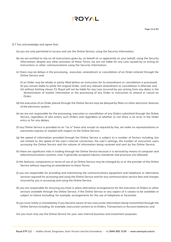- 8.7 You acknowledge and agree that:
	- (a) you are only permitted to access and use the Online Service, using the Security Information;
	- (b) we are entitled to rely on all instructions given by, on behalf of, or apparently on your behalf, using the Security Information; despite any other provision of these Terms, we are not liable for any Loss caused by us acting on instructions or other communications using the Security Information;
	- (c) there may be delays in the processing, execution, amendment or cancellation of an Order entered through the Online Service and:

(i) an Order may be wholly or partly filled before an instruction for its amendment or cancellation is processed; (ii) you remain liable to settle the original Order, until any relevant amendment or cancellation is effected; and (iii) without limiting clause 23, Royal will not be liable for any Loss incurred by you arising from any delay in the dissemination of market information or the processing of any Order or instruction to amend or cancel an Order;

- (d) the execution of an Order placed through the Online Service may be delayed by filters or other electronic features of the electronic system;
- (e) we are not responsible for the processing, execution or cancellation of any Orders submitted through the Online Service, regardless of who enters such Orders and regardless of whether or not there is an error in the Order entry or for any delays;
- (f) any Online Service is provided on an "as is" basis and, except as required by law, we make no representations or warranties express or implied with respect to the Online Service;
- (g) the speed of information provided through the Online Service is subject to a number of factors including, but not limited to, the speed of the user's internet connection, the user's settings, the number of concurrent users accessing the Online Service and the volume of information being received and sent by the Online Service;
- (h) there are significant risks in trading through the Online Service because it is serviced by means of computer and telecommunications systems, even if generally accepted industry standards and practices are followed;
- (i) the features, components or terms of use of an Online Service may be changed by us or the provider of the Online Service without requiring an amendment to these Terms:
- (j) you are responsible for providing and maintaining the communications equipment and telephone or alternative services required for accessing and using the Online Service and for any communication service fees and charges incurred by you in accessing and using the Online Service;
- (k) you are responsible for ensuring you have in place alternative arrangements for the execution of Orders or other services available through the Online Service, if the Online Service or any aspect of it ceases to be available or subject to failure (including, for example, arrangements for the use of telephone or facsimile);
- (l) you must notify us immediately if you become aware of any inaccurate information being transmitted through the Online Service including, for example, inaccurate content as to Orders, Transactions or Account balances; and
- (m) you must only use the Online Service for your own internal business and investment purposes.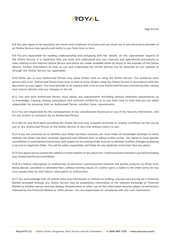8.8 You also agree to be bound by any terms and conditions of access and use which we or any third party provider of an Online Service may specify and notify to you, from time to time.

8.9 You are responsible for reading, understanding and complying with the details of the operational aspects of the Online Service. It is important that you read and understand any user manuals and operational procedures or rules relating to the relevant Online Service and which are made available either by Royal or the provider of the Online Service. Further information on how to use and understand the Online Service can be obtained on our website or through the Online Service (as applicable).

8.10 Either you or your Authorised Person may place Orders with us using the Online Service. You authorise each person who is an Authorised Person from time to time to enter Orders using the Online Service in accordance with this document as your agent. You must provide us on request with a list of your Authorised Persons (containing their names and contact details) and any changes to the list.

8.11 You and each Authorised Person must satisfy any requirements (including without limitation requirements as to knowledge, training, testing, procedures and controls) notified by us to you from time to time and you are solely responsible for ensuring that an Authorised Person satisfies these requirements.

8.12 You are responsible for the consequences of any unauthorised disclosure or use of the Security Information, and for any actions or omissions by an Authorised Person.

8.13 We (or any third party providing the Online Service) may suspend, terminate or impose conditions on the use by you or any Authorised Person of the Online Service at any time without notice to you.

8.14 If you are uncertain as to whether your Order has been received, you must make all reasonable attempts to verify whether the Order has been received, approved and effected prior to taking further action. You agree to issue specific cancellation or amendment instructions with respect to an existing Order and not to attempt to effect changes by placing a second or duplicate Order. You will be solely responsible and liable for any duplicate instruction that you place.

8.15 You agree not to contest the validity or enforceability of any electronic communications between yourself (including your Authorised Person) and Royal.

8.16 If a failure, interruption or malfunction of electronic communication between the parties prevents an Order from being placed, cancelled or amended then, without limiting clause 23, neither party is liable to the other party for any Loss caused then by that failure, interruption or malfunction.

8.17 You acknowledge that all market data and information in relation to trading, volumes and pricing for a Financial Market provided through any Online Service may be proprietary information of the relevant Exchange or Financial Market or another person and any display, dissemination or other use of that information may be subject to restrictions imposed by the Financial Market or other person. You are responsible for complying with any such restrictions.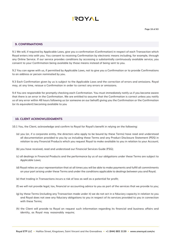

#### **9. CONFIRMATIONS**

9.1 We will, if required by Applicable Laws, give you a confirmation (Confirmation) in respect of each Transaction which Royal enters into with you. You consent to receiving Confirmation by electronic means including, for example, through any Online Service. If our service provides conditions by accessing a substantially continuously available service, you consent to your Confirmation being available by those means instead of being sent to you.

9.2 You can agree with us, if permitted by Applicable Laws, not to give you a Confirmation or to provide Confirmations to an address or person nominated by you.

9.3 Each Confirmation given by us is subject to the Applicable Laws and the correction of errors and omissions. Royal may, at any time, reissue a Confirmation in order to correct any errors or omissions.

9.4 You are responsible for promptly checking each Confirmation. You must immediately notify us if you become aware that there is an error in the Confirmation. We are entitled to assume that the Confirmation is correct unless you notify us of any error within 48 hours following us (or someone on our behalf) giving you the Confirmation or the Confirmation (or its equivalent) becoming available to you

#### **10. CLIENT ACKNOWLEDGMENTS**

10.1 You, the Client, acknowledge and confirm to Royal for Royal's benefit in relying on the following:

- (a) you (or, if a corporate entity, the directors who apply to be bound by these Terms) have read and understood all documentation provided to you by us including these Terms and any Product Disclosure Statement (PDS) in relation to any Financial Products which you request Royal to make available to you in relation to your Account;
- (b) you have received, read and understood our Financial Services Guide (FSG);
- (c) all dealings in Financial Products and the performance by us of our obligations under these Terms are subject to Applicable Laws;
- (d) Royal relies on your representation that at all times you will be able to make payments and fulfill all commitments on your part arising under these Terms and under the conditions applicable to dealings between you and Royal;
- (e) that trading in Transactions incurs a risk of loss as well as a potential for profit;
- (f) we will not provide legal, tax, financial or accounting advice to you as part of the services that we provide to you;
- (g) by these Terms (including any Transaction made under it) we do not act in a fiduciary capacity in relation to you and Royal does not owe any fiduciary obligations to you in respect of its services provided to you in connection with these Terms;
- (h) the Client will provide to Royal on request such information regarding its financial and business affairs and identity, as Royal may reasonably require;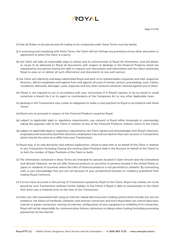

- (i) that all Orders to be placed and all trading to be conducted under these Terms must be lawful;
- (j) in executing and complying with these Terms, the Client will not infringe any provisions of any other document or agreement to which the Client is a party;
- (k) the Client will take all reasonable steps to obtain and to communicate to Royal all information, and will deliver or cause to be delivered to Royal all documents with respect to dealings in the Financial Products which are requested by any person having the right to request such documents and information and the Client authorizes Royal to pass on or deliver all such information and documents to any such person;
- (l) the Client will indemnify and keep indemnified Royal and each of its related bodies corporate and their respective directors, officers employees and agents from and against all sums of money, actions, proceedings, suits, Claims, complaints, demands, damages, costs, expenses and any other amounts whatever claimed against any of them;
- (m) Royal is not required to act in accordance with your instructions if in Royal's opinion to do so would or could constitute a breach by it or its agent or counterparty of the Companies Act or any other Applicable Laws;
- (n) dealings in the Transactions may create an obligation to make a cash payment to Royal in accordance with these Terms;
- (o) Royal acts as principal in respect of the Financial Products issued by Royal;
- (p) subject to applicable legal or regulatory requirements, you consent to Royal either knowingly or unknowingly taking the opposite side to the Client in relation to any of the Financial Products, without notice to the Client;
- (q) subject to applicable legal or regulatory requirements, the Client agrees and acknowledges that Royal's directors, employees and associates (and their directors, employees) may and can deal on their own account in Transactions which may be the same as or differ from your Transactions;
- (r) Royal may, in its sole discretion and without explanation, refuse to deal with or on behalf of the Client in relation to any Transaction (including Closing Out existing Open Positions held in the Account on behalf of the Client) or to limit the number of Open Positions of the Client or both;
- (s) The information contained in these Terms are intended for persons located in Saint Vincent and the Grenadines and abroad. However, we do not offer financial products or securities to persons located in the United States or Japan or residents of countries where the offer of financial products is not permitted or unlawful. By transacting with us you acknowledge that you are not because of your jurisdictional location or residency prohibited from trading Royal Contracts.
- (t) if errors have occurred in the pricing of Transactions quoted by Royal to the Client, Royal may choose not to be bound by such Transactions (without further liability to the Client) if Royal is able to substantiate to the Client that there was a material error at the time of the Transaction;
- (u) there are risks associated with using an internet- based deal execution trading system which include, but are not limited to, the failure of hardware, software, and internet connection and since Royal does not control data lows, internet or power connection, routing via internet, configuration of your equipment or reliability of its connection, Royal will not be responsible for communication failures, distortions or delays when trading (including processing payments)) via the internet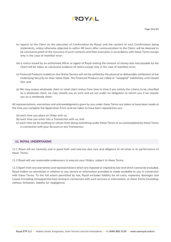

- (v) reports to the Client on the execution of Confirmation by Royal, and the content of such Confirmation being statements, unless otherwise objected to within 48 hours after communication to the Client, will be deemed to be conclusive proof of the accuracy of such contents and their execution in accordance with these Terms except only in the case of manifest error;
- (w) a notice issued by an authorised officer or agent of Royal stating the amount of money due and payable by the Client will be taken as conclusive evidence of notice except only in the case of manifest error;
- (x) Financial Products traded on the Online Service will not be settled by the physical or deliverable settlement of the Underlying Security on their Value Date. The Financial Products are rolled or "swapped" indefinitely until Closed Out ;and
- (y) We may assess wholesale client or retail client status from time to time if you satisfy the criteria to be classified as a wholesale client, we may classify you as such and we are under no obligation to inform you if we classify you as a wholesale client.

All representations, warranties and acknowledgments given by you under these Terms are taken to have been made at the time you complete the Application Form and are taken to have been repeated by you:

- (a) each time you place an Order with us;
- (b) each time you enter into a Transaction with us; and
- (c) each time we do anything or refrain from doing something under these Terms or as contemplated by these Terms in connection with your Account or any Transaction.

#### **11. ROYAL UNDERTAKING**

11.1 Royal will act honestly and in good faith and exercise due care and diligence at all times in its performance of these Terms.

11.2 Royal will use reasonable endeavours to execute your Orders, subject to these Terms.

11.3 Apart from any warranties and representations which are imposed or implied by law and which cannot be excluded, Royal makes no warranties in relation to any service or information provided or made available to you in connection with these Terms. To the full extent permitted by law, Royal excludes liability for all costs, expenses, damages and Losses (including consequential loss) arising in connection with such services or information, or these Terms (including, without limitation, liability for negligence).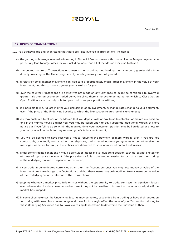

#### **12. RISKS OF TRANSACTIONS**

- 12.1 You acknowledge and understand that there are risks involved in Transactions, including:
	- (a) the gearing or leverage involved in investing in Financial Products means that a small Initial Margin payment can potentially lead to large losses for you, including more than all of the Margin ever paid to Royal;
	- (b) the geared nature of Transactions also means that acquiring and holding them can carry greater risks than directly investing in the Underlying Security which generally are not geared;
	- (c) a relatively small market movement can lead to a proportionately much larger movement in the value of your investment, and this can work against you as well as for you;
	- (d) over-the-counter Transactions are derivatives not made on any Exchange so might be considered to involve a greater risk than an exchange-traded derivative since there is no exchange market on which to Close Out an Open Position - you are only able to open and close your positions with us;
	- (e) it is possible to incur a loss if, after your acquisition of an investment, exchange rates change to your detriment, even if the price of the Underlying Security to which the Transaction relates remains unchanged;
	- (f) you may sustain a total loss of the Margin that you deposit with or pay to us to establish or maintain a position and if the market moves against you, you may be called upon to pay substantial additional Margin at short notice but if you fail to do so within the required time, your investment position may be liquidated at a loss to you and you will be liable for any remaining deficits in your Account;
	- (g) you will be deemed to have received a notice requiring the payment of more Margin, even if you are not contactable, or actually contacted, at the telephone, mail or email address you gave us or do not receive the messages we leave for you, if the notices are delivered to your nominated contact addresses;
	- (h) under some trading conditions it may be difficult or impossible to liquidate a position, such as (but not limited to) at times of rapid price movement if the price rises or falls in one trading session to such an extent that trading in the underlying market is suspended or restricted;
	- (i) if you trade in denominated currencies other than the Account currency you may lose money or value of the investment due to exchange rate fluctuations and that these losses may be in addition to any losses on the value of the Underlying Security relevant to the Transactions;
	- (j) gapping, whereby a market price falls or rises without the opportunity to trade, can result in significant losses even when a stop loss has been put on because it may not be possible to transact at the nominated price if the market has gapped;
	- (k) in some circumstances the Underlying Security may be halted, suspended from trading or have their quotation for trading withdrawn from an exchange and these factors might affect the value of your Transaction relating to those Underlying Securities due to Royal exercising its discretion to determine the fair value of them;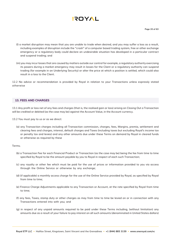

- (l) a market disruption may mean that you are unable to trade when desired, and you may suffer a loss as a result, including examples of disruption include the "crash" of a computer based trading system, free or other exchange emergency or a regulatory body could declare an undesirable situation has developed in a particular contract and suspend trading; and
- (m) you may incur losses that are caused by matters outside our control for example, a regulatory authority exercising its powers during a market emergency may result in losses for the Client or a regulatory authority can suspend trading (for example in an Underlying Security) or alter the price at which a position is settled, which could also result in a loss to the Client.

12.2 No advice or recommendation is provided by Royal in relation to your Transactions unless expressly stated otherwise

#### **13. FEES AND CHARGES**

13.1 Any profit or loss net of any fees and charges (that is, the realised gain or loss) arising on Closing Out a Transaction will be credited or debited (as the case may be) against the Account Value, in the Account currency.

13.2 You must pay to us or as we direct:

(a) any Transaction charges including all Transaction commission, charges, fees, Margins, premia, settlement and clearing fees and charges, interest, default charges and Taxes (including taxes but excluding Royal's income tax or penalty tax and levies) and any other amounts due under these Terms on demand by Royal in cleared funds or otherwise as required by these

#### Terms;

- (b) a Transaction Fee for each Financial Product or Transaction (as the case may be) being the fee from time to time specified by Royal to be the amount payable by you to Royal in respect of each such Transaction;
- (c) any royalty or other fee which must be paid for the use of prices or information provided to you via access through the Online Service or otherwise by any exchange;
- (d) (if applicable) a monthly access charge for the use of the Online Service provided by Royal, as specified by Royal from time to time;
- (e) Finance Charge Adjustments applicable to any Transaction or Account, at the rate specified by Royal from time to time;
- (f) any fees, Taxes, stamp duty or other charges as may from time to time be levied on or in connection with any Transactions entered into with you; and
- (g) in respect of any unpaid amounts required to be paid under these Terms including, (without limitation) any amounts due as a result of your failure to pay interest on all such amounts (denominated in United States dollars)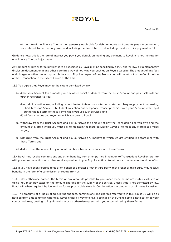

at the rate of the Finance Charge then generally applicable for debit amounts on Accounts plus 4% per annum, such interest to accrue daily from and including the due date to and including the date of its payment in full.

Guidance note: this is the rate of interest you pay if you default on making any payment to Royal. It is not the rate for any Finance Charge Adjustment.

Any amount or rate or formula which is to be specified by Royal may be specified by a PDS and/or FSG, a supplementary disclosure document or in any other permitted way of notifying you, such as on Royal's website. The amount of any fees and charges or other amounts payable by you to Royal in respect of any Transaction will be set out in the Confirmation of that Transaction to the extent known at the time.

13.3 You agree that Royal may, to the extent permitted by law:

- (a) debit your Account (on a monthly or any other basis) or deduct from the Trust Account and pay itself, without further reference to you:
	- (i) all administration fees, including but not limited to fees associated with returned cheques, payment processing, Short Message Service (SMS), debt collection and telephone transcript copies from your Account with Royal during the full term of these Terms while you use such services; and
	- (ii) all fees, charges and royalties which you owe to Royal;
- (b) withdraw from the Trust Account and pay ourselves the amount of any the Transaction Fee you owe and the amount of Margin which you must pay to maintain the required Margin Cover or to meet any Margin call made to you;
- (c) withdraw from the Trust Account and pay ourselves any moneys to which we are entitled in accordance with these Terms and
- (d) deduct from the Account any amount reimbursable in accordance with these Terms.

13.4 Royal may receive commissions and other benefits, from other parties, in relation to Transactions Royal enters into with you or in connection with other services provided to you. Royal is entitled to retain such commissions and benefits.

13.5 If you have been referred to us or on behalf of a broker or other third party, that broker or third party may receive benefits in the form of a commission or rebate from us.

13.6 Unless otherwise agreed, the terms of any amounts payable by you under these Terms are stated exclusive of taxes. You must pay taxes on the amount charged for the supply of the service, unless that is not permitted by law. Royal will when required by law and as far as practicable state in Confirmation the amounts as all taxes inclusive.

13.7 The amounts of or basis of calculating the fees, commissions and charges referred to in this clause 13 will be as notified from time to time in writing by Royal, either by way of a PDS, postings on the Online Service, notification to your contact address, posting to Royal's website or as otherwise agreed with you or permitted by these Terms.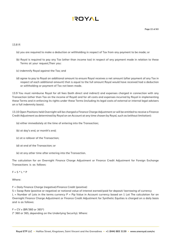# **AYOT!**

#### 13.8 If:

(a) you are required to make a deduction or withholding in respect of Tax from any payment to be made; or

- (b) Royal is required to pay any Tax (other than income tax) in respect of any payment made in relation to these Terms at your request,Then you:
- (c) indemnify Royal against the Tax; and
- (d) agree to pay to Royal an additional amount to ensure Royal receives a net amount (after payment of any Tax in respect of each additional amount) that is equal to the full amount Royal would have received had a deduction or withholding or payment of Tax not been made.

13.9 You must reimburse Royal for all fees (both direct and indirect) and expenses charged in connection with any Transaction (other than Tax on the income of Royal) and for all costs and expenses incurred by Royal in implementing these Terms and in enforcing its rights under these Terms (including its legal costs of external or internal legal advisers on a full indemnity basis).

13.10 Open Positions held Overnight will be charged a Finance Charge Adjustment or will be entitled to receive a Finance Credit Adjustment as determined by Royal on an Account at any time chosen by Royal, such as (without limitation):

- (a) either immediately at the time of entering into the Transaction;
- (b) at day's end, or month's end;
- (c) at a rollover of the Transaction;
- (d) at end of the Transaction; or
- (e) at any other time after entering into the Transaction.

The calculation for an Overnight Finance Charge Adjustment or Finance Credit Adjustment for Foreign Exchange Transactions is as follows:

#### $F = S * I * P$

Where:

F = Daily Finance Charge (negative)/Finance Credit (positive)

S = Swap Rate (positive or negative) or notional value of interest earned/paid for deposit/ borrowing of currency L = Number of Lots in the terms currency P = Pip Value in Account currency based on 1 Lot The calculation for an Overnight Finance Charge Adjustment or Finance Credit Adjustment for Synthetic Equities is charged on a daily basis and is as follows:

 $F = CV \times (BR/360 \text{ or } 365^*)$ (\* 360 or 365, depending on the Underlying Security). Where: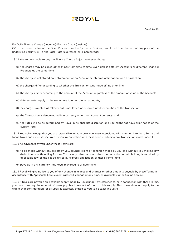

F = Daily Finance Charge (negative)/Finance Credit (positive)

CV is the current value of the Open Positions for the Synthetic Equities, calculated from the end of day price of the underlying security BR is the Base Rate (expressed as a percentage)

13.11 You remain liable to pay the Finance Charge Adjustment even though:

- (a) the charge may be called other things from time to time, even across different Accounts or different Financial Products at the same time;
- (b) the charge is not stated on a statement for an Account or interim Confirmation for a Transaction;
- (c) the charges differ according to whether the Transaction was made offline or on-line;
- (d) the charges differ according to the amount of the Account, regardless of the amount or value of the Account;
- (e) different rates apply at the same time to other clients' accounts;
- (f) the charge is applied at rollover but is not levied or enforced until termination of the Transaction;
- (g) the Transaction is denominated in a currency other than Account currency; and
- (h) the rates will be as determined by Royal in its absolute discretion and you might not have prior notice of the current rate.

13.12 You acknowledge that you are responsible for your own legal costs associated with entering into these Terms and for all Taxes and expenses incurred by you in connection with these Terms, including any Transaction made under it.

13.13 All payments by you under these Terms are:

- (a) to be made without any set-off by you, counter claim or condition made by you and without you making any deduction or withholding for any Tax or any other reason unless the deduction or withholding is required by applicable law or the set-off arises by express application of these Terms; and
- (b) payable in any currency that Royal may require or determine.

13.14 Royal will give notice to you of any change in its fees and charges or other amounts payable by these Terms in accordance with Applicable Laws except rates will change at any time, as available via the Online Service.

13.15 If taxes are payable on a taxable supply made by Royal under, by reference to, or in connection with these Terms, you must also pay the amount of taxes payable in respect of that taxable supply. This clause does not apply to the extent that consideration for a supply is expressly stated to you to be taxes inclusive.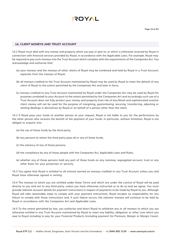

#### **14. CLIENT MONEYS AND TRUST ACCOUNT**

14.1 Royal must deal with any money and property which you pay or give to, or which is otherwise received by Royal in connection with financial services provided by Royal, in accordance with the Applicable Laws. For example, Royal may be required to pay such moneys into the Trust Account which complies with the requirements of the Companies Act. You acknowledge and authorise that:

- (a) your moneys and the moneys of other clients of Royal may be combined and held by Royal in a Trust Account, separate from the moneys of Royal;
- (b) all moneys credited to the Trust Account maintained by Royal may be used by Royal to meet the default of any client of Royal to the extent permitted by the Companies Act and laws in force;
- (c) moneys credited to any Trust Account maintained by Royal under the Companies Act may be used by Royal for purposes unrelated to your Account to the extent permitted by the Companies Act and accordingly such use of a Trust Account does not fully protect your money and property from risk of loss.Retail and sophisticated investor client money will not be used for the purpose of margining, guaranteeing, securing, transferring, adjusting or settling dealings in derivatives by Royal or on behalf of a person other than the client.

14.2 If Royal pays your funds to another person at your request, Royal is not liable to you for the performance by the other person who receives the benefit of the payment of your funds. In particular, without limitation, Royal is not obliged to enquire into:

- (a) the use of those funds by the third party;
- (b) any persons to whom the third party pays all or any of these funds;
- (c) the solvency of any of those persons;
- (d) the compliance by any of those people with the Companies Act, Applicable Laws and Rules;
- (e) whether any of those persons hold any part of these funds on any nominee, segregated account, trust or any other basis for your protection or security.

14.3 You agree that Royal is entitled to all interest earned on moneys credited to any Trust Account unless you and Royal have otherwise agreed in writing.

14.4 The moneys to which you are entitled under these Terms and which are under the control of Royal will be paid directly to you and not to any third party, unless you have otherwise instructed us to do so and we agree. You must provide relevant account details for payment instructions in respect of payments to be made by Royal to you. Although Royal will take reasonable steps to comply with your payment instructions, Royal accepts no responsibility for any failure to comply with those instructions and, if such failure occurs, the relevant moneys will continue to be held by Royal in accordance with the Companies Act and Applicable Laws.

14.5 To the extent permitted by law, you authorise and direct Royal to withdraw any or all moneys to which you are otherwise entitled in any Trust Account maintained by Royal to meet any liability, obligation or other Loss which you owe to Royal including to pay for your Financial Products (including payment for Premium, Margin or Margin Cover).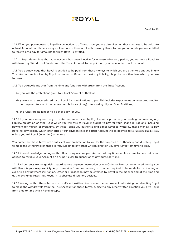14.6 When you pay moneys to Royal in connection to a Transaction, you are also directing those moneys to be paid into a Trust Account and those moneys will remain in there until withdrawn by Royal to pay you amounts you are entitled to receive or to pay for amounts to which Royal is entitled.

14.7 If Royal determines that your Account has been inactive for a reasonably long period, you authorise Royal to withdraw any Withdrawal Funds from the Trust Account to be paid into your nominated bank account.

14.8 You acknowledge that Royal is entitled to be paid from those moneys to which you are otherwise entitled in any Trust Account maintained by Royal an amount sufficient to meet any liability, obligation or other Loss which you owe to Royal.

14.9 You acknowledge that from the time any funds are withdrawn from the Trust Account:

- (a) you lose the protections given to a Trust Account of thatkind;
- (b) you are an unsecured creditor of Royal for its obligations to you. This includes exposure as an unsecured creditor for payment to you of the net Account balance (if any) after closing all your Open Positions;
- (c) the funds are no longer held beneficially for you.

14.10 If you pay moneys into any Trust Account maintained by Royal, in anticipation of you creating and meeting any liability, obligation or other Loss which you will owe to Royal including to pay for your Financial Products (including payment for Margin or Premium), by these Terms you authorise and direct Royal to withdraw those moneys to pay Royal for any liability which later arises. Your payment into the Trust Account will be deemed to be subject to this direction unless you tell Royal (in writing) otherwise.

You agree that these Terms are a sufficient written direction by you for the purposes of authorising and directing Royal to make the withdrawal on these Terms, subject to any other written direction you give Royal from time to time.

14.11 You acknowledge and agree that Royal may revalue your Account at any time and from time to time but is not obliged to revalue your Account on any particular frequency or at any particular time.

14.12 All currency exchange risks regarding any payment instruction or any Order or Transaction entered into by you with Royal is your responsibility. Any conversion from one currency to another required to be made for performing or executing any payment instruction, Order or Transaction may be effected by Royal in the manner and at the time and at the exchange rates that Royal, in its absolute discretion, decides.

14.13 You agree that these Terms are a sufficient written direction for the purposes of authorising and directing Royal to make the withdrawals from the Trust Account on these Terms, subject to any other written direction you give Royal from time to time which Royal accepts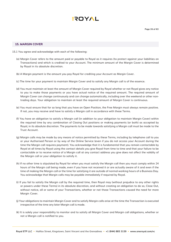#### **15. MARGIN COVER**

- 15.1 You agree and acknowledge with each of the following:
	- (a) Margin Cover refers to the amount paid or payable to Royal as it requires (to protect against your liabilities on Transactions) and which is credited to your Account. The minimum amount of the Margin Cover is determined by Royal in its absolute discretion.
	- (b) A Margin payment is the amount you pay Royal for crediting your Account as Margin Cover.
	- (c) The time for your payment to maintain Margin Cover and to satisfy any Margin call is of the essence.
	- (d) You must maintain at least the amount of Margin Cover required by Royal whether or not Royal gives any notice to you to make those payments or you have actual notice of the required amount. The required amount of Margin Cover can change continuously and can change automatically, including over the weekend or other nontrading days. Your obligation to maintain at least the required amount of Margin Cover is continuous.
	- (e) You must ensure that for so long that you have an Open Position, the Free Margin must always remain positive. If not, you may receive and have to satisfy a Margin call in accordance with these Terms.
	- (f) You have an obligation to satisfy a Margin call (in addition to your obligation to maintain Margin Cover) within the required time by any combination of Closing Out positions or making payments (or both) as accepted by Royal, in its absolute discretion. The payments to be made towards satisfying a Margin call must be made to the Trust Account.
	- (g) Margin calls may be made by any means of notice permitted by these Terms, including by telephone call to you or your Authorised Person or by way of the Online Service (even if you do not access your Account during the time the Margin call requires payment). You acknowledge that it is fundamental that you remain contactable by Royal at all times by Royal using the contact details you give Royal from time to time and that your failure to be contactable or to receive notice of a Margin call at any contact address you give does not affect the validity of the Margin call or your obligation to satisfy it.
	- (h) If no other time is stipulated by Royal for when you must satisfy the Margin call then you must comply within 24 hours of the Margin call being made, even if you have not received it or are actually aware of it and even if the time of making the Margin call or the time for satisfying it are outside of normal working hours of a Business Day. You acknowledge that Margin calls may be payable immediately if required by Royal.
	- (i) If you fail to satisfy the Margin call by the required time, then Royal may (without prejudice to any other rights or powers under these Terms) in its absolute discretion, and without creating an obligation to do so, Close Out, without notice, all or some of your Transactions, whether or not those Transactions caused the need for more Margin Cover.
	- (j) Your obligations to maintain Margin Cover and to satisfy Margin calls arise at the time the Transaction is executed irrespective of the time any later Margin call is made.
	- (k) It is solely your responsibility to monitor and to satisfy all Margin Cover and Margin call obligations, whether or not a Margin call is notified to you.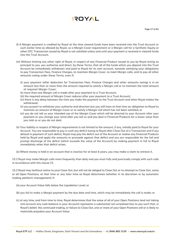- (l) A Margin payment is credited by Royal at the time cleared funds have been received into the Trust Account or such earlier time as allowed by Royal, so a Margin Cover requirement or a Margin call for a Synthetic Equity or other OTC Transaction issued by Royal is not satisfied unless and until your payment is received in cleared funds into the Trust Account.
- (m) Without limiting any other right of Royal, in respect of any Financial Product issued to you by Royal acting as principal to you, you authorise and direct, by these Terms, that all of the funds which you deposit into the Trust Account be immediately withdrawn and paid to Royal for its own account, towards satisfying your obligations to pay Transaction Fees, Finance Charges, to maintain Margin Cover, to meet Margin calls, and to pay all other amounts owing under these Terms, even if:
	- (i) your payment (after deduction for Transaction Fees, Finance Charges and other amounts owing) is in an amount less than or more than the amount required to satisfy a Margin call or to maintain the total amount of required Margin Cover;
	- (ii) more than one Margin call is made after your payment to a Trust Account;
	- (iii) the required amount of Margin Cover reduces after your payment to a Trust Account;
	- (iv) there is any delay between the time you make the payment to the Trust Account and when Royal makes the withdrawal;
	- (v) you purport to withdraw your authority and direction but you still have at that time an obligation to Royal to maintain an amount of Margin Cover or to satisfy a Margin call which has not been satisfied; or
	- (vi) you do not tell us your intended use of the Margin Cover which will be directed to your Account after your payment or you change your mind after you tell us and you deal in Financial Products for a lesser value than you told us or you do not deal.
- (n) Your liability in respect of Margin requirements is not limited to the amount, if any, initially paid to Royal for your Account. You are responsible to pay in cash any deficit owing to Royal after Close Out of a Transaction and if you default in payment of such deficit, Royal may pay the deficit out of the Account or realise any Financial Products held by Royal and apply the amounts or proceeds against that deficit and you are responsible for the full and prompt discharge of the deficit (which exceeds the value of the Account) by making payment in full to Royal immediately when that deficit arises.
- (o) Where money is held in an account that is inactive for at least 6 years, you may make a claim to retrieve it.

15.2 Royal may make Margin calls more frequently than daily and you must fully and punctually comply with such calls in accordance with this clause 15.

15.3 Royal may (without notice to you) Close Out, but will not be obliged to Close Out or to attempt to Close Out, some or all Open Positions, at that time or any later time as Royal determines (whether in its discretion or by automatic trading platform management) if:

- (a) your Account Value falls below the Liquidation Level; or
- (b) you fail to make a Margin payment by the due date and time, which may be immediately the call is made; or
- (c) at any time, and from time to time, Royal determines that the value of all of your Open Positions (and not taking into account any cash balance in your Account) represents a substantial net unrealised loss to you such that, in Royal's belief, the continued trading, or failure to Close Out, one or more of your Open Positions will or is likely to materially prejudice your Account Value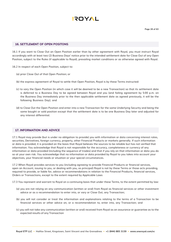

#### **16. SETTLEMENT OF OPEN POSITONS**

16.1 If you want to Close Out an Open Position earlier than by other agreement with Royal, you must instruct Royal accordingly with at least two (2) Business Days' notice prior to the intended settlement date for Close Out of any Open Position, subject to the Rules (if applicable to Royal), prevailing market conditions or as otherwise agreed with Royal.

16.2 In respect of each Open Position, subject to:

- (a) prior Close Out of that Open Position; or
- (b) the express agreement of Royal to settle that Open Position, Royal is by these Terms instructed:
- (c) to vary the Open Position (in which case it will be deemed to be a new Transaction) so that its settlement date is deferred to a Business Day to be agreed between Royal and you (and failing agreement by 5:00 p.m. on the Business Day immediately prior to the then applicable settlement date as agreed previously, it will be the following Business Day); and
- (d) to Close Out the Open Position and enter into a new Transaction for the same Underlying Security and being the same bought or sold position except that the settlement date is to be one Business Day later and adjusted for any interest differential.

#### **17. INFORMATION AND ADVICE**

17.1 Royal may provide (but is under no obligation to provide) you with information or data concerning interest rates, securities, Derivatives, foreign currency, property, other Financial Products or markets generally. If such information or data is provided, it is provided on the basis that Royal believes the sources to be reliable but has not verified that information. You acknowledge that Royal is not responsible for the accuracy, completeness or currency of any information or data provided (including the sequence of trades) and that if you rely on that information or data you do so at your own risk. You acknowledge that no information or data provided by Royal to you takes into account your objectives, your financial needs or situation or your special circumstances.

17.2 When Royal provides services to you (including agreeing to provide Financial Products or financial services, open an Account, issuing to you, or dealing with you, as principal) Royal is not by these Terms or those acts providing, required to provide, or liable for, advice or recommendations in relation to the Financial Products, financial services, Orders or Transactions, except to the extent required by Applicable Laws

17.3 You represent and warrant to Royal on a continuing basis that under these Terms, to the extent permitted by law:

- (a) you are not relying on any communication (written or oral) from Royal as financial services or other investment advice or as a recommendation to enter into, or vary or Close Out, any Transaction;
- (b) you will not consider or treat the information and explanations relating to the terms of a Transaction to be financial services or other advice on, or a recommendation to, enter into, any Transaction; and
- (c) you will not take any communication (written or oral) received from Royal as an assurance or guarantee as to the expected results of any Transaction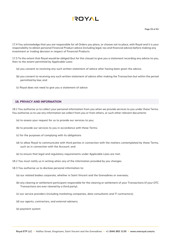17.4 You acknowledge that you are responsible for all Orders you place, or choose not to place, with Royal and it is your responsibility to obtain personal Financial Product advice (including legal, tax and financial advice) before making any investment or trading decision in respect of Financial Products

17.5 To the extent that Royal would be obliged (but for this clause) to give you a statement recording any advice to you, then to the extent permitted by Applicable Laws:

- (a) you consent to receiving any such written statement of advice after having been given the advice;
- (b) you consent to receiving any such written statement of advice after making the Transaction but within the period permitted by law; and
- (c) Royal does not need to give you a statement of advice

#### **18. PRIVACY AND INFORMATION**

18.1 You authorise us to collect your personal information from you when we provide services to you under these Terms. You authorise us to use any information we collect from you or from others, or such other relevant documents

- (a) to assess your request for us to provide our services to you;
- (b) to provide our services to you in accordance with these Terms;
- (c) for the purposes of complying with its obligations
- (d) to allow Royal to communicate with third parties in connection with the matters contemplated by these Terms, such as in connection with the Account; and
- (e) to ensure that legal and regulatory requirements under Applicable Laws are met.
- 18.2 You must notify us in writing when any of the information provided by you changes.
- 18.3 You authorise us to disclose personal information to:
	- (a) our related bodies corporate, whether in Saint Vincent and the Grenadines or overseas;
	- (b) any clearing or settlement participant responsible for the clearing or settlement of your Transactions (if your OTC Transactions are ever cleared by a third party);
	- (c) our service providers (including marketing companies, data consultants and IT contractors);
	- (d) our agents, contractors, and external advisers;
	- (e) payment system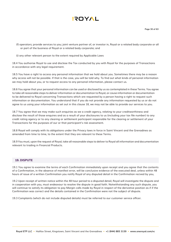

(f) operators; provide services to you; joint venture partner of, or investor in, Royal or a related body corporate or all or part of the business of Royal or a related body corporate; and

(i) any other relevant person to the extent required by Applicable Laws

18.4 You authorise Royal to use and disclose the Tax conducted by you with Royal for the purposes of Transactions in accordance with any legal requirement.

18.5 You have a right to access any personal information that we hold about you. Sometimes there may be a reason why access will not be possible. If that is the case, you will be told why. To find out what kinds of personal information we may hold about you, or to request access to any personal information, please contact us.

18.6 You agree that your personal information can be used or disclosed by us as contemplated in these Terms. You agree to take all reasonable steps to deliver information or documentation to Royal, or cause information or documentation to be delivered to Royal concerning Transactions which are requested by a person having a right to request such information or documentation. You understand that if you do not provide any information requested by us or do not agree to us using your information as set out in this clause 18, we may not be able to provide our services to you.

18.7 You agree that we may make such enquiries as we a credit agency, relating to your creditworthiness and disclose the result of those enquires and as a result of your disclosures to us (including your tax file number) to any credit rating agency or to any clearing or settlement participant responsible for the clearing or settlement of your Transactions for the purposes of our or that participant's risk assessment.

18.8 Royal will comply with its obligations under the Privacy laws in force in Saint Vincent and the Grenadines as amended from time to time, to the extent that they are relevant to these Terms.

18.9 You must, upon the request of Royal, take all reasonable steps to deliver to Royal all information and documentation relevant to trading in Financial Products.

#### **19. DISPUTE**

19.1 You agree to examine the terms of each Confirmation immediately upon receipt and you agree that the contents of a Confirmation, in the absence of manifest error, will be conclusive evidence of the executed deal, unless within 48 hours of issue of a written Confirmation you notify Royal of any disputed detail in the Confirmation recived by you,

19.2 Upon receipt of written notice within the 48 hour period to a disputed detail, Royal will investigate the dispute and in cooperation with you, must endeavour to resolve the dispute in good faith. Notwithstanding any such dispute, you will continue to satisfy its obligation to pay Margin calls made by Royal in respect of the derivative position as if if the Confirmation was correct and the details contained in the Confirmation were not the subject of dispute.

19.3 Complaints (which do not include disputed details) must be referred to our customer service officer.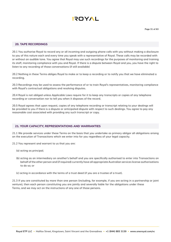

#### **20. TAPE RECORDINGS**

20.1 You authorise Royal to record any or all incoming and outgoing phone calls with you without making a disclosure to you of this nature each and every time you speak with a representative of Royal. These calls may be recorded with or without an audible tone. You agree that Royal may use such recordings for the purposes of monitoring and training its staff, monitoring compliance with you and Royal. If there is a dispute between Royal and you, you have the right to listen to any recording of those conversations (if still available)

20.2 Nothing in these Terms obliges Royal to make or to keep a recording or to notify you that we have eliminated a recording.

20.3 Recordings may be used to assess the performance of or to train Royal's representatives, monitoring compliance with Royal's contractual obligations and resolving disputes.

20.4 Royal is not obliged unless Applicable Laws require for it to keep any transcripts or copies of any telephone recording or conversation nor to tell you when it disposes of the record.

20.5 Royal agrees that upon request, copies of any telephone recording or transcript relating to your dealings will be provided to you if there is a dispute or anticipated dispute with respect to such dealings. You agree to pay any reasonable cost associated with providing any such transcript or copy.

#### **21. YOUR CAPACITY, REPRESENTATIONS AND WARRANTIES**

21.1 We provide services under these Terms on the basis that you undertake as primary obligor all obligations arising on the execution of Transactions which we enter into for you regardless of your legal capacity.

21.2 You represent and warrant to us that you are:

- (a) acting as principal;
- (b) acting as an intermediary on another's behalf and you are specifically authorised to enter into Transactions on behalf of the other person and (if required) currently have all appropriate Australian services license authorisations to do so; or
- (c) acting in accordance with the terms of a trust deed (if you are a trustee of a trust).

21.3 If you are constituted by more than one person (including, for example, if you are acting in a partnership or joint venture), then each person constituting you are jointly and severally liable for the obligations under these Terms, and we may act on the instructions of any one of those persons.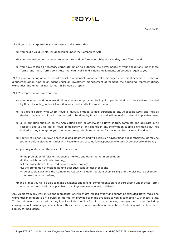

**Page 32 of 63**

- 21.4 If you are a corporation, you represent and warrant that:
	- (a) you hold a valid CR No. (as applicable) under the Companies Act;
	- (b) you have full corporate power to enter into, and perform your obligations under, these Terms; and
	- (c) you have taken all necessary corporate action to authorise the performance of your obligations under these Terms, and these Terms constitute the legal, valid and binding obligations, enforceable against you.

21.5 If you are acting as a trustee of a trust, a responsible manager of a managed investment scheme, a trustee of a superannuation fund or an agent under an investment management agreement, the additional representations, warranties and undertakings set out in Schedule 1 apply.

- 21.6 You represent and warrant that:
	- (a) you have read and understood all documentation provided by Royal to you in relation to the services provided by Royal including, without limitation, any product disclosure statement;
	- (b) you are a person with whom Royal is lawfully entitled to deal pursuant to any Applicable Laws and that all dealings by you with Royal or requested to be done by Royal are and will be lawful under all Applicable Laws;
	- (c) all information supplied on the Application Form or otherwise to Royal is true, complete and accurate in all respects and you will notify Royal immediately of any change in any information supplied (including but not limited to any change in your name, address, telephone number, facsimile number or e-mail address);
	- (d) you will rely upon your own knowledge and judgment and will seek such advice (financial or otherwise) as may be prudent before placing an Order with Royal and you assume full responsibility for any Order placed with Royal;
	- (e) you fully understand the relevant provisions of:
		- (i) the prohibition of false or misleading markets and other market manipulation;
		- (ii) the prohibition of insider trading;
		- (iii) the prohibition of false trading and market rigging;
		- (iv) the prohibition of misleading and deceptive conduct described; and
		- (v) Applicable Laws and the Companies Act which s upon regulate short selling and the disclosure obligations imposed on short sellers;
	- (f) at all times you will be able to make payments and fulfil all commitments on your part arising under these Terms and under the conditions applicable to dealings between yourself and Royal.

21.7 Apart from any warranties and representations which are implied by law and cannot be excluded, Royal makes no warranties in relation to any service or information provided or made available to you in connection with these Terms. To the full extent permitted by law, Royal excludes liability for all costs, expenses, damages and Losses (including consequential loss) arising in connection with such services or information, or these Terms (including, without limitation, liability for negligence).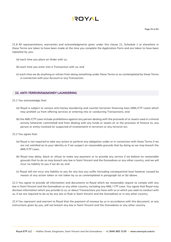# **AYOT!**

21.8 All representations, warranties and acknowledgments given under this clause 21, Schedule 1 or elsewhere in these Terms are taken to have been made at the time you complete the Application Form and are taken to have been repeated by you:

- (a) each time you place an Order with us;
- (b) each time you enter into a Transaction with us; and
- (c) each time we do anything or refrain from doing something under these Terms or as contemplated by these Terms in connection with your Account or any Transaction.

#### **22. ANTI-TERRORISM/MONEY LAUNDERING**

- 22.1 You acknowledge that:
	- (a) Royal is subject to various anti-money laundering and counter-terrorism financing laws (AML/CTF Laws) which may prohibit us from offering services or entering into or conducting Transactions; and
	- (b) the AML/CTF Laws include prohibitions against any person dealing with the proceeds of or assets used in criminal activity (wherever committed) and from dealing with any funds or assets of, or the provision of finance to, any person or entity involved (or suspected of involvement) in terrorism or any terrorist act.
- 22.2 You agree that:
	- (a) Royal is not required to take any action or perform any obligation under or in connection with these Terms if we are not satisfied as to your identity or if we suspect on reasonable grounds that by doing so we may breach the AML/CTF Laws;
	- (b) Royal may delay, block or refuse to make any payment or to provide any service if we believe on reasonable grounds that to do so may breach any law in Saint Vincent and the Grenadines or any other country, and we will incur no liability to you if we do so; and
	- (c) Royal will not incur any liability to you for any loss you suffer (including consequential loss) however caused by reason of any action taken or not taken by us as contemplated in paragraph (a) or (b) above.

22.3 You agree to provide all information and documents to Royal which we reasonably require to comply with any law in Saint Vincent and the Grenadines or any other country, including any AML/ CTF Laws. You agree that Royal may disclose information which you provide to us, or about Transactions you have with us or which you seek to conduct with us, if we are required to do so by any law or Rule in Saint Vincent and the Grenadines or in any other country.

22.4 You represent and warrant to Royal that the payment of moneys by us in accordance with this document, or any instructions given by you, will not breach any law in Saint Vincent and the Grenadines or any other country.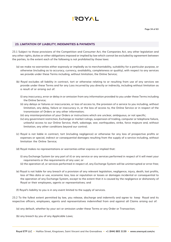

#### **23. LIMITATION OF LIABILITY, INDEMNITIES & PAYMENTS**

23.1 Subject to those provisions of the Competition and Consumer Act, the Companies Act, any other legislation and any other rights, duties or other obligations imposed or implied by law which cannot be excluded by agreement between the parties, to the extent each of the following is not prohibited by those laws:

- (a) we make no warranties either expressly or impliedly as to merchantability, suitability for a particular purpose, or otherwise (including as to accuracy, currency, availability, completeness or quality), with respect to any services we provide under these Terms including, without limitation, the Online Service;
- (b) Royal excludes all liability in contract, tort or otherwise relating to or resulting from use of any services we provide under these Terms and for any Loss incurred by you directly or indirectly, including without limitation as a result of or arising out of:
	- (i) any inaccuracy, error or delay in or omission from any information provided to you under these Terms including the Online Service;
	- (ii) any delays or failures or inaccuracies, or loss of access to, the provision of a service to you including, without limitation, any delay, failure or inaccuracy in, or the loss of access to, the Online Service or in respect of the transmission of Orders or any other information;
	- (iii) any misinterpretation of your Orders or instructions which are unclear, ambiguous, or not specific;
	- (iv) any government restriction, Exchange or market rulings, suspension of trading, computer or telephone failure, unlawful access to our Online Service, theft, sabotage, war, earthquakes, strike, force majeure and, without limitation, any other conditions beyond our control;
- (c) Royal is not liable in contract, tort (including negligence) or otherwise for any loss of prospective profits or expenses or special, indirect or consequential damages resulting from the supply of a service including, without limitation the Online Service;
- (d) Royal makes no representations or warranties either express or implied that:
	- (i) any Exchange System (or any part of it) or any service or any services performed in respect of it will meet your requirements or the requirements of any user; or
	- (ii) the operation of, or services performed in respect of, any Exchange System will be uninterrupted or error-free;
- (e) Royal is not liable for any breach of a provision of any relevant legislation, negligence, injury, death, lost profits, loss of files data or use, economic loss, loss or reputation or losses or damages incidental or consequential to the operation of any Exchange System, except to the extent that it is caused by the negligence or dishonesty of Royal or their employees, agents or representatives; and
- (f) Royal's liability to you is in any event limited to the supply of services.

23.2 To the fullest extent permitted by law, you release, discharge and indemnify and agree to keep Royal and its respective officers, employees, agents and representatives indemnified from and against all Claims arising out of:

- (a) any default, whether by your act or omission under these Terms or any Order or Transaction;
- (b) any breach by you of any Applicable Laws;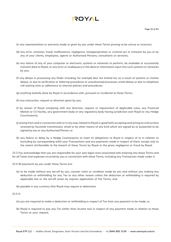(c) any representation or warranty made or given by you under these Terms proving to be untrue or incorrect;

- (d) any error, omission, fraud, malfeasance, negligence, misappropriation or criminal act or omission by you or by any of your clients, employees, agents or Authorised Persons, consultants or servants;
- (e) any failure of any of your computer or electronic systems or networks to perform, be available or successfully transmit data to Royal, or any error or inadequacy in the data or information input into such systems or networks by you;
- (f) any delays in processing any Order including, for example (but not limited to), as a result of systems or market delays, or due to verification or faltering procedures or unauthorised processes, email delays or due to telephone call waiting time or adherence to internal policies and procedures;
- (g) anything lawfully done by Royal in accordance with, pursuant or incidental to these Terms;
- (h) any instruction, request or direction given by you;
- (i) by reason of Royal complying with any direction, request or requirement of Applicable Laws, any Financial Market or CS Facility, any government body or any regulatory body having jurisdiction over Royal or any Hedge Counterparty;
- (j) arising from and in connection with or in any way related to Royal in good faith accepting and acting on instructions received by facsimile transmission, email or by other means of any kind which are signed by or purported to be signed by you or any Authorised Person; or
- (k) any failure or delay by a Hedge Counterparty to meet its obligations to Royal in respect of or in relation to (including by corresponding with) your Transactions and any payments made in respect of them, except only to the extent attributable to the breach of these Terms by Royal or the gross negligence or fraud by Royal.

23.3 You acknowledge that you are responsible for your own legal costs associated with entering into these Terms and for all Taxes and expenses incurred by you in connection with these Terms, including any Transaction made under it.

23.4 All payments by you under these Terms are:

- (a) to be made without any set-off by you, counter claim or condition made by you and without you making any deduction or withholding for any Tax or any other reason unless the deduction or withholding is required by applicable law or the set-off arises by express application of the Terms; and
- (b) payable in any currency that Royal may require or determine.

#### 23.5 If:

- (a) you are required to make a deduction or withholding in respect of Tax from any payment to be made; or
- (b) Royal is required to pay any Tax (other than income tax) in respect of any payment made in relation to these Terms at your request,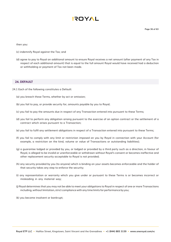

**Page 36 of 63**

then you:

- (c) indemnify Royal against the Tax; and
- (d) agree to pay to Royal an additional amount to ensure Royal receives a net amount (after payment of any Tax in respect of each additional amount) that is equal to the full amount Royal would have received had a deduction or withholding or payment of Tax not been made.

#### **24. DEFAULT**

- 24.1 Each of the following constitutes a Default:
	- (a) you breach these Terms, whether by act or omission;
	- (b) you fail to pay, or provide security for, amounts payable by you to Royal;
	- (c) you fail to pay the amounts due in respect of any Transaction entered into pursuant to these Terms;
	- (d) you fail to perform any obligation arising pursuant to the exercise of an option contract or the settlement of a contract which arises pursuant to a Transaction;
	- (e) you fail to fulfil any settlement obligations in respect of a Transaction entered into pursuant to these Terms;
	- (f) you fail to comply with any limit or restriction imposed on you by Royal in connection with your Account (for example, a restriction on the kind, volume or value of Transactions or outstanding liabilities);
	- (g) a guarantee lodged or provided by you, or lodged or provided by a third party such as a direction, in favour of Royal, is alleged to be invalid or unenforceable or withdrawn without Royal's consent or becomes ineffective and other replacement security acceptable to Royal is not provided;
	- (h) any security provided by you (to anyone) which is binding on your assets becomes enforceable and the holder of that security takes any step to enforce the security;
	- (i) any representation or warranty which you give under or pursuant to these Terms is or becomes incorrect or misleading in any material way;
	- (j) Royal determines that you may not be able to meet your obligations to Royal in respect of one or more Transactions including, without limitation, strict compliance with any time limits for performance by you;
	- (k) you become insolvent or bankrupt;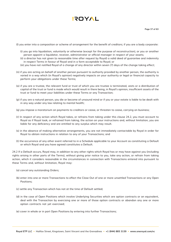

(l) you enter into a composition or scheme of arrangement for the benefit of creditors; if you are a body corporate:

- (i) you go into liquidation, voluntarily or otherwise (except for the purpose of reconstruction), or you or another person appoint a liquidator, receiver, administrator or official manager in respect of your assets;
- (ii) a director has not given (a reasonable time after request by Royal) a valid deed of guarantee and indemnity in respect Terms in favour of Royal and in a form acceptable to Royal; or
- (iii) you have not notified Royal of a change of any director within seven (7) days of the change taking effect;
- (n) if you are acting on behalf of another person pursuant to authority provided by another person, the authority is varied in a way which (in Royal's opinion) negatively impacts on your authority or legal or financial capacity to perform your obligations under these Terms;
- (o) if you are a trustee, the relevant fund or trust of which you are trustee is terminated, vests or a distribution of capital of the trust or fund is made which would result in there being, in Royal's opinion, insufficient assets of the trust or fund to meet your liabilities under these Terms or any Transaction;
- (p) if you are a natural person, you die or become of unsound mind or if you or your estate is liable to be dealt with in any way under any law relating to mental health;
- (q) you impose a moratorium on payments to creditors or cease, or threaten to cease, carrying on business;
- (r) In respect of any action which Royal takes, or refrains from taking under this clause 24.2, you must account to Royal as if Royal took, or refrained from taking, the action on your instructions and, without limitation, you are liable for any deficiency and are entitled to any surplus which may result.
- (s) in the absence of making alternative arrangements, you are not immediately contactable by Royal in order for Royal to obtain instructions in relation to any of your Transactions; and
- (t) the occurrence of any other event referred to in a Schedule applicable to your Account as constituting a Default or which Royal and you have agreed constitutes a Default.

24.2 If a Default occurs, Royal may, in addition to any other rights which Royal has or may have against you (including rights arising in other parts of the Terms), without giving prior notice to you, take any action, or refrain from taking action, which it considers reasonable in the circumstances in connection with Transactions entered into pursuant to these Terms and, without limitation, Royal may:

- (a) cancel any outstanding Orders;
- (b) enter into one or more Transactions to effect the Close Out of one or more unsettled Transactions or any Open Positions;
- (c) settle any Transaction which has not at the time of Default settled;
- (d) in the case of Open Positions which involve Underlying Securities which are option contracts or an equivalent, deal with the Transaction by exercising one or more of those option contracts or abandon any one or more option contracts not yet exercised;
- (e) cover in whole or in part Open Positions by entering into further Transactions;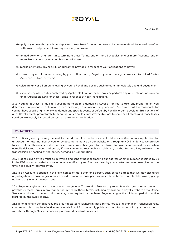- (f) apply any money that you have deposited into a Trust Account and to which you are entitled, by way of set-off or withdrawal and payment to us any amount you owe us;
- (g) immediately, or at a later time, terminate these Terms, one or more Schedules, one or more Accounts, one or more Transactions or any combination of these;
- (h) realise or enforce any security or guarantee provided in respect of your obligations to Royal;
- (i) convert any or all amounts owing by you to Royal or by Royal to you in a foreign currency into United States American Dollars currency;
- (j) calculate any or all amounts owing by you to Royal and declare such amount immediately due and payable; or
- (k) exercise any other rights conferred by Applicable Laws or these Terms or perform any other obligations arising under Applicable Laws or these Terms in respect of your Transactions.

24.3 Nothing in these Terms limits your rights to claim a default by Royal or for you to take any proper action you determine is appropriate to claim or to recover for any Loss arising from your claim. You agree that it is reasonable for you not have specific rights following default and specific events of default by Royal in order to avoid all Transactions of all of Royal's clients prematurely terminating, which could cause irrevocable loss to some or all clients and those losses could be irrevocably increased by such an automatic termination.

#### **25. NOTICES**

25.1 Notices given by us may be sent to the address, fax number or email address specified in your application for an Account or later notified by you, or by posting the notice on our website or through any Online Service we provide to you. Unless otherwise specified in these Terms any notice given by us is taken to have been received by you when actually delivered to your address or, if that cannot be reasonably established, on the Business Day following the transmission or posting of the notice, demand or Confirmation

25.2 Notices given by you must be in writing and sent by post or email to our address or email number specified by us in the FSG or on our website or as otherwise notified by us. A notice given by you is taken to have been given at the time it is actually received by us.

25.3 If an Account is opened in the joint names of more than one person, each person agrees that we may discharge any obligation we have to give a notice or a document to those persons under these Terms or Applicable Laws by giving notice to any one of those persons.

25.4 Royal may give notice to you of any change in its Transaction Fees or any rates, fees charges or other amounts payable by these Terms in any manner permitted by these Terms, including by posting to Royal's website or to Online Services or platform administration service, or as required by the Rules. Royal must give the minimum period of notice required by the Rules (if any).

25.5 If no minimum period is required or is not stated elsewhere in these Terms, notice of a change in Transaction Fees, charges or roles may be effective immeiatlely Royal first generally publishes the information of any variation on its website or through Online Service or platform administration service.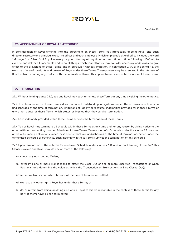

#### **26. APPOINTMENT OF ROYAL AS ATTORNEY**

In consideration of Royal entering into the agreement on these Terms, you irrevocably appoint Royal and each director, secretary and principal executive officer and each employee (which employee's title of office includes the word "Manager" or "Head") of Royal severally as your attorney at any time and from time to time following a Default, to execute and deliver all documents and to do all things which your attorney may consider necessary or desirable to give effect to the provisions of these Terms, and in particular, without limitation, in connection with, or incidental to, the exercise of any of the rights and powers of Royal under these Terms. Those powers may be exercised in the interests of Royal notwithstanding any conflict with the interests of Royal. This appointment survives termination of these Terms.

#### **27. TERMINATION**

27.1 Without limiting clause 24.2, you and Royal may each terminate these Terms at any time by giving the other notice.

27.2 The termination of these Terms does not affect outstanding obligations under these Terms which remain undischarged at the time of termination, limitations of liability or recourse, indemnities provided for in these Terms or any other clause of these Terms which states or implies that they survive termination.

27.3 Each indemnity provided within these Terms survives the termination of these Terms.

27.4 You or Royal may terminate a Schedule within these Terms at any time and for any reason by giving notice to the other, without terminating another Schedule of these Terms. Termination of a Schedule under this clause 27 does not affect outstanding obligations under these Terms which are undischarged at the time of termination, either under the terminated Schedule or otherwise. Each indemnity in these Terms survives the termination of any Schedule.

27.5 Upon termination of these Terms (or a relevant Schedule under clause 27.4), and without limiting clause 24.2, this Clause survives and Royal may do one or more of the following:

- (a) cancel any outstanding Orders;
- (b) enter into one or more Transactions to effect the Close Out of one or more unsettled Transactions or Open Positions (and determine the value at which the Transaction or Transactions will be Closed Out);
- (c) settle any Transaction which has not at the time of termination settled;
- (d) exercise any other rights Royal has under these Terms; or
- (e) do, or refrain from doing, anything else which Royal considers reasonable in the context of these Terms (or any part of them) having been terminated.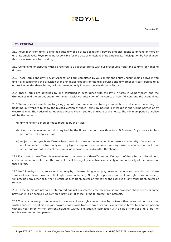### **AYOT!**

#### **28. GENERAL**

28.1 Royal may from time to time delegate any or all of its obligations, powers and discretions to anyone or more or all of its employees. Royal remains responsible for the acts or omissions of its employees. A delegation by Royal under this clause need not be in writing.

28.2 Complaints or disputes must be referred to us in accordance with our procedures from time to time for handling disputes...

28.3 These Terms and any relevant Application Form completed by you contain the entire understanding between you and Royal concerning the provision of the Financial Products or financial services and any other services referred to in or provided under these Terms, as later amended only in accordance with these Terms.

28.4 These Terms are governed by and construed in accordance with the laws in force in Saint Vincent and the Grenadines and the parties submit to the non-exclusive jurisdiction of the courts of Saint Vincent and the Grenadines.

28.5 We may vary these Terms by giving you notice of any variation by any combination of: document in writing, by updating our website to show the revised version of these Terms, by posting a message in the Online Service or by electronic mail. The notice of variation is effective even if you are unaware of the notice. The minimum period of notice will be the lesser of:

- (a) any minimum period of notice required by the Rules;
- (b) if no such minimum period is required by the Rules, then not less than two (2) Business Days' notice (unless paragraph (c) applies); and
- (c) subject to paragraph (a), if we believe a variation is necessary to maintain or restore the security of any Accounts or of our systems or to comply with any legal or regulatory requirement, we may make the variation without prior notice and will notify you of the change as soon as practicable after the change.

28.6 Each part of these Terms is severable from the balance of these Terms and if any part of these Terms is illegal, void, invalid or unenforceable, then that will not affect the legality, effectiveness, validity or enforceability of the balance of these Terms.

28.7 No failure by us to exercise, and no delay by us in exercising, any right, power or remedy in connection with these Terms will operate as a waiver of that right, power or remedy. No single or partial exercise of any right, power or remedy will preclude any other or further exercise of such right, power or remedy or the exercise of any other right, power or remedy.

28.8 These Terms are not to be interpreted against our interests merely because we proposed these Terms or some provision in it or because we rely on a provision of these Terms to protect our interests.

28.9 You may not assign or otherwise transfer any of your rights under these Terms to another person without our prior written consent. Royal may assign, novate or otherwise transfer any of its rights under these Terms to another person without your prior written consent including, without limitation, in connection with a sale or transfer of all or part of our business to another person.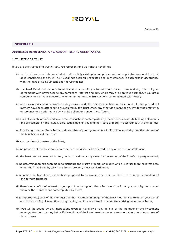

#### **SCHEDULE 1**

#### **ADDITIONAL REPRESENTATIONS, WARRANTIES AND UNDERTAKINGS**

#### **1. TRUSTEE OF A TRUST**

If you are the trustee of a trust (Trust), you represent and warrant to Royal that:

- (a) the Trust has been duly constituted and is validly existing in compliance with all applicable laws and the trust deed constituting the trust (Trust Deed) has been duly executed and duly stamped, in each case in accordance with the laws of Saint Vincent and the Grenadines;
- (b) the Trust Deed and its constituent documents enable you to enter into these Terms and any other of your agreements with Royal despite any conflict of interest and duty which may arise on your part; and, if you are a company, any of your directors, when entering into the Transactions contemplated with Royal;
- (c) all necessary resolutions have been duly passed and all consents have been obtained and all other procedural matters have been attended to as required by the Trust Deed, any other document or any law for the entry into, observance and performance by it of its obligations under these Terms;
- (d) each of your obligations under, and the Transactions contemplated by, these Terms constitute binding obligations and are completely and lawfully enforceable against you and the Trust's property in accordance with their terms;
- (e) Royal's rights under these Terms and any other of your agreements with Royal have priority over the interests of the beneficiaries of the Trust;
- (f) you are the only trustee of the Trust;
- (g) no property of the Trust has been re-settled, set aside or transferred to any other trust or settlement;
- (h) the Trust has not been terminated, nor has the date or any event for the vesting of the Trust's property occurred;
- (i) no determination has been made to distribute the Trust's property on a date which is earlier than the latest date under the Trust Deed by which the Trust's property must be distributed;
- (j) no action has been taken, or has been proposed, to remove you as trustee of the Trust, or to appoint additional or alternate trustees;
- (k) there is no conflict of interest on your part in entering into these Terms and performing your obligations under them or the Transactions contemplated by them;
- (l) (as appropriate) each of the manager and the investment manager of the Trust is authorised to act on your behalf and to instruct Royal in relation to any dealing and in relation to all other matters arising under these Terms;
- (m) you will be bound by any instructions given to Royal by or any actions of the manager or the investment manager (as the case may be) as if the actions of the investment manager were your actions for the purpose of these Terms;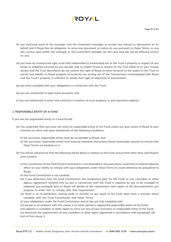

- (n) you authorise each of the manager and the investment manager to accept any notices or documents on its behalf and if Royal has an obligation to serve any document or notice on you pursuant to these Terms, or any law, service upon either the manager or the investment manager (as the case may be) will be effective service on you;
- (o) you have an unrestricted right to be fully indemnified or exonerated out of the Trust's property in respect of any losses or liabilities incurred by you (except only in respect fraud or breach of the Trust Deed of or your trustee duties) and the Trust documents do not restrict the right of Royal to have recourse to the assets of the Trust to satisfy and liability to Royal properly incurred by you arising out of the Transactions contemplated with Royal and the Trust's property is sufficient to satisfy that right of indemnity or exoneration;
- (p) you have complied with your obligations in connection with the Trust;
- (q) you are authorised to open bank accounts; and
- (r) you are authorised to enter into contracts in relation to trust property, in your personal capacity.

#### **2. RESPONSIBLE ENTITY OF A FUND**

If you are the responsible entity of a fund (Fund):

- (a) You undertake that you must not retire as responsible entity of the Fund unless you give notice to Royal of your intention to retire and upon satisfaction of the following conditions:
	- (i) the successor responsible entity must be acceptable to Royal; and
	- (ii) the successor responsible entity must execute whatever documents Royal reasonably requires to ensure that these Terms are binding on it.
- (b) You will (or will procure that the following will be done) in relation to the Fund, ensure that other than with Royal's prior consent:
	- (i) the constitution of the fund (Fund Constitution) is not amended in any way which could have a material adverse effect on your ability to comply with your obligations under these Terms or could otherwise be prejudicial to Royal;
	- (ii) the Fund Constitution is not revoked;
	- (iii) if you determine that the Fund Constitution, the compliance plan for the Fund, or any custodian or other agency agreement entered into by you in connection with the Fund is required by law to be changed or replaced, you promptly give to Royal full details of the requirement and copies of the documentation you propose to enter into to comply with that requirement;
	- (iv) there is no re-settlement, setting aside or transfer of any asset of the Fund other than a transfer which complies with the Fund Constitution and these Terms;
	- (v) your obligations under the Fund Constitution and at law are fully complied with;
	- (vi) except in accordance with this clause 2 no other person is appointed responsible entity of the Fund;

(viii) appoint a custodian or other agent to carry out any of your functions as responsible entity of the Fund; (ix) terminate the appointment of any custodian or other agent appointed in accordance with paragraph 2(b (viii) of this clause 2;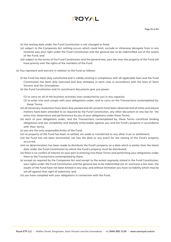

(x) the vesting date under the Fund Constitution is not changed or fixed;

- (xi) subject to the Companies Act nothing occurs which could limit, exclude or otherwise derogate from in any material way your right under the Fund Constitution and the general law to be indemnified out of the assets of the Fund; and
- (xii) subject to the terms of the Fund Constitution and the general law, your lien over the property of the Fund will have priority over the rights of the members of the Fund.
- (c) You represent and warrant in relation to the Fund as follows:
	- (i) the Fund has been duly constituted and is validly existing in compliance with all applicable laws and the Fund Constitution has been duly executed and duly stamped, in each case in accordance with the laws of Saint Vincent and the Grenadines;
	- (ii) the Fund Constitution and its constituent documents give you power:
		- (1) to carry on all of the business activities now conducted by you in any capacity;
		- (2) to enter into and comply with your obligations under, and to carry on the Transactions contemplated by, these Terms;
	- (iii) all necessary resolutions have been duly passed and all consents have been obtained and all other procedural matters have been attended to as required by the Fund Constitution, any other document or any law for the entry into, observance and performance by you of your obligations under these Terms;
	- (iv) each of your obligations under, and the Transactions contemplated by, these Terms constitute binding obligations and are completely and lawfully enforceable against you and the Fund's property in accordance with their terms;
	- (v) you are the only responsible entity of the Fund;
	- (vi) no property of the Fund has been re-settled, set aside or transferred to any other trust or settlement;
	- (vii) the Fund has not been terminated, nor has the date or any event for the vesting of the Fund's property occurred;
	- (viii) no determination has been made to distribute the Fund's property on a date which is earlier than the latest date under the Fund Constitution by which the Fund's property must be distributed;
	- (ix) there is no conflict of interest on your part in entering into these Terms and performing your obligations under them or the Transactions contemplated by them;
	- (x) except as required by the Companies Act and except to the extent expressly stated in the Fund Constitution, your rights under the Fund Constitution and the general law to be indemnified out of, and have a lien over, the assets of the Fund have not been limited in any way; and without limitation you have no liability which may be set-off against that right of indemnity; and
	- (xi) you have complied with your obligations in connection with the Fund.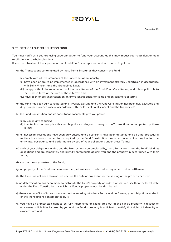#### **3. TRUSTEE OF A SUPERANNUATION FUND**

You must notify us if you are using superannuation to fund your account, as this may impact your classification as a retail client or a wholesale client.

If you are a trustee of the superannuation fund (Fund), you represent and warrant to Royal that:

- (a) the Transactions contemplated by these Terms insofar as they concern the Fund:
	- (i) comply with all requirements of the Superannuation Industry;
	- (ii) have been or are to be implemented in accordance with an investment strategy undertaken in accordance with Saint Vincent and the Grenadines Laws;
	- (iii) comply with all the requirements of the constitution of the Fund (Fund Constitution) and rules applicable to the Fund, in force at the date of these Terms; and
	- (iv) have been or are undertaken on an arm's length basis, for value and on commercial terms.
- (b) the Fund has been duly constituted and is validly existing and the Fund Constitution has been duly executed and duly stamped, in each case in accordance with the laws of Saint Vincent and the Grenadines;
- (c) the Fund Constitution and its constituent documents give you power:
	- (i) by you in any capacity;
	- (ii) to enter into and comply with your obligations under, and to carry on the Transactions contemplated by, these Terms;
- (d) all necessary resolutions have been duly passed and all consents have been obtained and all other procedural matters have been attended to as required by the Fund Constitution, any other document or any law for the entry into, observance and performance by you of your obligations under these Terms;
- (e) each of your obligations under, and the Transactions contemplated by, these Terms constitute the Fund's binding obligations and are completely and lawfully enforceable against you and the property in accordance with their terms;
- (f) you are the only trustee of the Fund;
- (g) no property of the Fund has been re-settled, set aside or transferred to any other trust or settlement;
- (h) the Fund has not been terminated, nor has the date or any event for the vesting of the property occurred;
- (i) no determination has been made to distribute the Fund's property on a date which is earlier than the latest date under the Fund Constitution by which the Fund's property must be distributed;
- (j) there is no conflict of interest on your part in entering into these Terms and performing your obligations under it or the Transactions contemplated by it;
- (k) you have an unrestricted right to be fully indemnified or exonerated out of the Fund's property in respect of any losses or liabilities incurred by you and the Fund's property is sufficient to satisfy that right of indemnity or exoneration; and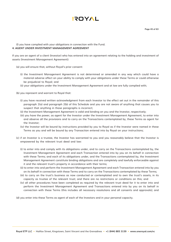

#### (l) you have complied with your obligations in connection with the Fund. **4. AGENT UNDER INVESTMENT MANAGEMENT AGREEMENT**

If you are an agent of a client (Investor) who has entered into an agreement relating to the holding and investment of assets (Investment Management Agreement):

- (a) you will ensure that, without Royal's prior consent:
	- (i) the Investment Management Agreement is not determined or amended in any way which could have a material adverse affect on your ability to comply with your obligations under these Terms or could otherwise be prejudicial to Royal; and
	- (ii) your obligations under the Investment Management Agreement and at law are fully complied with;
- (b) you represent and warrant to Royal that:
	- (i) you have received written acknowledgment from each Investor to the effect set out in the remainder of this paragraph 2(a) and paragraph 2(b) of this Schedule and you are not aware of anything that causes you to suspect that anything in those paragraphs is incorrect;
	- (ii) the Investment Management Agreement is valid and binding on you and the Investor, respectively;
	- (iii) you have the power, as agent for the Investor under the Investment Management Agreement, to enter into and observe all the provisions and to carry on the Transactions contemplated by, these Terms as agent for the Investor;
	- (iv) the Investor will be bound by instructions provided by you to Royal as if the Investor were named in these Terms as you and will be bound by any Transaction entered into by Royal on your instructions;
- (c) if an Investor is a trustee, the Investor has warranted to you and you reasonably believe that the Investor is empowered by the relevant trust deed and law:
	- (i) to enter into and comply with its obligations under, and to carry on the Transactions contemplated by, the Investment Management Agreement and each Transaction entered into by you on its behalf in connection with these Terms; and each of its obligations under, and the Transactions contemplated by, the Investment Management Agreement constitute binding obligations and are completely and lawfully enforceable against it and the relevant trust's property in accordance with their terms;
	- (ii) to enter into and perform the Investment Management Agreement and each Transaction entered into by you on its behalf in connection with these Terms and to carry on the Transactions contemplated by these Terms;
	- (iii) to carry on the trust's business as now conducted or contemplated and to own the trust's assets, in its capacity as trustee of the relevant trust; and there are no restrictions or conditions on this; and
	- (iv) all other procedures have been completed as required by the relevant trust deed for it to enter into and perform the Investment Management Agreement and Transactions entered into by you on its behalf in connection with these Terms (this includes all necessary resolutions and all consents and approvals); and

(d) you enter into these Terms as agent of each of the Investors and in your personal capacity.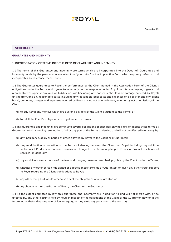#### **SCHEDULE 2**

#### **GUARANTEE AND INDEMNITY**

#### **1. INCORPORATION OF TERMS INTO THE DEED OF GUARANTEE AND INDEMNITY**

1.1 The terms of this Guarantee and Indemnity are terms which are incorporated into the Deed of Guarantee and Indemnity made by the person who executes it as "guarantor" in the Application Form which expressly refers to and incorporates by reference these terms.

1.2 The Guarantor guarantees to Royal the performance by the Client named in the Application Form of the Client's obligations under the Terms and agrees to indemnify and to keep indemnified Royal and its employees, agents and representatives against any and all liability or Loss (including any consequential loss or damage suffered by Royal) arising from, and any reasonable costs (including any reasonable legal costs and expenses on a solicitor and own client basis), damages, charges and expenses incurred by Royal arising out of any default, whether by act or omission, of the Client:

(a) to pay Royal any moneys which are due and payable by the Client pursuant to the Terms; or

(b) to fulfill the Client's obligations to Royal under the Terms.

1.3 This guarantee and indemnity are continuing several obligations of each person who signs or adopts these terms as Guarantor notwithstanding termination of all or any part of the Terms of dealing and will not be affected in any way by:

- (a) any indulgence, delay or period of grace allowed by Royal to the Client or a Guarantor;
- (b) any modification or variation of the Terms of dealing between the Client and Royal, including any addition to Financial Products or financial services or change to the Terms applying to Financial Products or financial services or generally;
- (c) any modification or variation of the fees and charges, however described, payable by the Client under the Terms;
- (d) whether any other person has signed or adopted these terms as a "Guarantor" or given any other credit support to Royal regarding the Client's obligations to Royal;
- (e) any other thing that would otherwise affect the obligations of a Guarantor; or
- (f) any change in the constitution of Royal, the Client or the Guarantor.

1.4 To the extent permitted by law, this guarantee and indemnity are in addition to and will not merge with, or be affected by, any other security held by Royal in respect of the obligations of the Client or the Guarantor, now or in the future, notwithstanding any rule of law or equity, or any statutory provision to the contrary.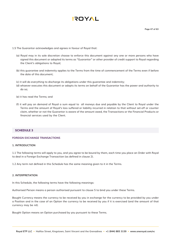**Page 47 of 63**

- 1.5 The Guarantor acknowledges and agrees in favour of Royal that:
	- (a) Royal may in its sole discretion choose to enforce this document against any one or more persons who have signed this document or adopted its terms as "Guarantor" or other provider of credit support to Royal regarding the Client's obligations to Royal;
	- (b) this guarantee and indemnity applies to the Terms from the time of commencement of the Terms even if before the date of this document;
	- (c) it will do everything to discharge its obligations under this guarantee and indemnity;
	- (d) whoever executes this document or adopts its terms on behalf of the Guarantor has the power and authority to do so;
	- (e) it has read the Terms; and
	- (f) it will pay on demand of Royal a sum equal to all moneys due and payable by the Client to Royal under the Terms and the amount of Royal's loss suffered or liability incurred in relation to that without set-off or counter claim, whether or not the Guarantor is aware of the amount owed, the Transactions or the Financial Products or financial services used by the Client.

#### **SCHEDULE 3**

#### **FOREIGN EXCHANGE TRANSACTIONS**

#### **1. INTRODUCTION**

1.1 The following terms will apply to you, and you agree to be bound by them, each time you place an Order with Royal to deal in a Foreign Exchange Transaction (as defined in clause 2).

1.2 Any term not defined in this Schedule has the same meaning given to it in the Terms.

#### **2. INTERPRETATION**

In this Schedule, the following terms have the following meanings:

Authorised Person means a person authorised pursuant to clause 5 to bind you under these Terms.

Bought Currency means the currency to be received by you in exchange for the currency to be provided by you under a Position and in the case of an Option the currency to be received by you if it is exercised (and the amount of that currency may be nil).

Bought Option means an Option purchased by you pursuant to these Terms.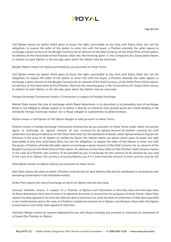

Call Option means an option which gives its buyer the right, exercisable at any time until Expiry Date, but not the obligation, to require the seller of the option to enter into with the buyer, a Position whereby the seller agrees to exchange a given amount of the Bought Currency for an amount of the Sold Currency, at the Strike Price of that option, for delivery on the Value Date of that Position. Deal has the meaning given in the Companies Act. Expiry Date means, in relation to each Option, is the last day upon which the Option may be exercised.

Bought Option means an Option purchased by you pursuant to these Terms.

Call Option means an option which gives its buyer the right, exercisable at any time until Expiry Date, but not the obligation, to require the seller of the option to enter into with the buyer, a Position whereby the seller agrees to exchange a given amount of the Bought Currency for an amount of the Sold Currency, at the Strike Price of that option, for delivery on the Value Date of that Position. Deal has the meaning given in the Corporations Act. Expiry Date means, in relation to each Option, is the last day upon which the Option may be exercised.

Foreign Exchange Transaction means a Transaction in respect of Foreign Exchange.

Market Rate means the rate of exchange which Royal determines in its discretion is its prevailing rate of exchange. Royal is not obliged to obtain quotes or to derive it directly or indirectly from quoted prices by a bank dealing in the interbank Foreign Exchange market nor is Royal obliged to substantiate its determination.

Option means a Call Option or Put Option bought or sold pursuant to these Terms.

Position means a Foreign Exchange Transaction entered into by you pursuant to these Terms under which the parties agree to exchange an agreed amount of one currency for an agreed amount of another currency for cash settlement (not physical delivery) on the Value Date (and, for the avoidance of doubt, either agreed amount may be nil). Premium is the price of an Option as notified by Royal. Put Option means an option which gives its buyer the right exercisable at any time until Expiry Date, but not the obligation, to require the seller of the Option to enter into with the buyer, a Position whereby the seller agrees to exchange a given amount of the Sold Currency for an amount of the Bought Currency at the Strike Price of that option, for delivery on the Value Date of that Position. Sold Currency means in the case of a Position, the currency to be provided by you in exchange for the currency to be received by you, and in the case of an Option, the currency to be provided by you if it is exercised (the amount of that currency may be nil).

Sold Option means an Option sold by you pursuant to these Terms.

Spot Date means the date on which a Position entered into for spot delivery falls due for settlement in accordance with prevailing conventions in the interbank market.

Strike Price means the rate of exchange at which an Option may be exercised.

Unusual Volatility means, in respect of a Position or Option, such fluctuation in inter-day rates and intra-day rates as Royal determines from time to time in its absolute discretion is unusual for the purposes of these Terms. Value Date means the date agreed at the time the relevant deal is entered in to, to be the date of settlement of that deal (specified in the Confirmation) and in the case of a Position created on exercise of an Option, two Business Days after the Option is exercised or such other date agreed at that time.

Variation Margin means an amount deposited by you with Royal including any increase or reduction on settlement of a Closed Out Position or Option.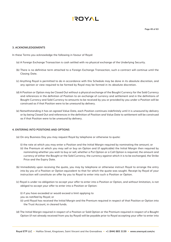#### **3. ACKNOWLEDGEMENTS**

In these Terms you acknowledge the following in favour of Royal:

- (a) A Foreign Exchange Transaction is cash settled with no physical exchange of the Underlying Security.
- (b) There is no definitive term attached to a Foreign Exchange Transaction, such a contract will continue until the Closing Date.
- (c) Anything Royal is permitted to do in accordance with this Schedule may be done in its absolute discretion, and any opinion or view required to be formed by Royal may be formed in its absolute discretion.
- (d) A Position or Option may be Closed Out without a physical exchange of the Bought Currency for the Sold Currency and references in the definition of Position to an exchange of currency and settlement and in the definitions of Bought Currency and Sold Currency to amounts to be received by you or provided by you under a Position will be construed as if that Position were to be unwound by delivery.
- (e) Notwithstanding it has an agreed Value Date, each Position continues indefinitely until it is unwound by delivery or by being Closed Out and references in the definition of Position and Value Date to settlement will be construed as if that Position were to be unwound by delivery.

#### **4. ENTERING INTO POSITIONS AND OPTIONS**

- (a) On any Business Day you may request Royal by telephone or otherwise to quote:
	- (i) the rate at which you may enter a Position and the Initial Margin required by nominating the amount; or
	- (ii) the Premium at which you may sell or buy an Option and (if applicable) the Initial Margin then required by nominating whether you wish to buy or sell, whether a Put Option or a Call Option is required, the amount and currency of either the Bought or the Sold Currency, the currency against which it is to be exchanged, the Strike Price and the Expiry Date.
- (b) Immediately upon receiving the quote, you may by telephone or otherwise instruct Royal to arrange the entry into by you of a Position or Option equivalent to that for which the quote was sought. Receipt by Royal of your instruction will constitute an offer by you to Royal to enter into such a Position or Option.
- (c) Royal is under no obligation to accept your offer to enter into a Position or Option, and without limitation, is not obliged to accept your offer to enter into a Position or Option:

(i) if you have exceeded or would exceed a limit applying to

you as notified by Royal; or

- (ii) until Royal has received the Initial Margin and the Premium required in respect of that Position or Option into the Trust Account, in cleared funds.
- (d) The Initial Margin required in respect of a Position or Sold Option or the Premium required in respect of a Bought Option (if not already received from you by Royal) will be payable prior to Royal accepting your offer to enter into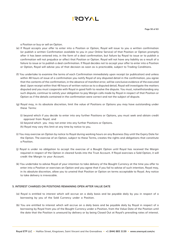

**Page 50 of 63**

a Position or buy or sell an Option.

- (e) If Royal accepts your offer to enter into a Position or Option, Royal will issue to you a written confirmation (or publish a written Confirmation available to you in your Online Service) of that Position or Option promptly after it has been entered into, in the form of a deal confirmation, but failure by Royal to issue or to publish a confirmation will not prejudice or affect that Position or Option. Royal will not have any liability as a result of a failure to issue or to publish a deal confirmation. If Royal decides not to accept your offer to enter into a Position or Option, Royal will advise you of that decision as soon as is practicable, subject to Trading Conditions.
- (f) You undertake to examine the terms of each Confirmation immediately upon receipt (or publication) and unless within 48 hours of issue of a confirmation you notify Royal of any disputed detail in the confirmation, you agree that the contents of the confirmation, in the absence of manifest error, will be conclusive evidence of the executed deal. Upon receipt within that 48 hours of written notice as to a disputed detail, Royal will investigate the matters disputed and you must cooperate with Royal in good faith to resolve the dispute. You must, notwithstanding any such dispute, continue to satisfy your obligation to pay Margin calls made by Royal in respect of that Position or Option as if the details contained in the confirmation were correct and not the subject of dispute.
- (g) Royal may, in its absolute discretion, limit the value of Positions or Options you may have outstanding under these Terms:
	- (i) beyond which if you decide to enter into any further Positions or Options, you must seek and obtain credit approval from Royal; and
	- (ii) beyond which you may not enter into any further Positions or Options.
	- (h) Royal may vary this limit at any time by notice to you.
- (i) You may exercise an Option by notice to Royal during working hours on any Business Day until the Expiry Date for the Option. The exercise of an Option, subject to these Terms, creates the rights and obligations that constitute a Position.
- (j) Royal is under no obligation to accept the exercise of a Bought Option until Royal has received the Margin required in respect of the Option in cleared funds into the Trust Account. If Royal exercises a Sold Option, it will credit the Margin to your Account.
- (k) You undertake to advise Royal of your intention to take delivery of the Bought Currency at the time you offer to enter into a Position or exercises an Option and you agree that if you fail to advise of such intention, Royal may, in its absolute discretion, allow you to unwind that Position or Option on terms acceptable to Royal. Any notice to take delivery is irrevocable.

#### **5. INTEREST CHARGES ON POSITIONS REMAINING OPEN AFTER VALUE DATE**

- (a) Royal is entitled to interest which will accrue on a daily basis and be payable daily by you in respect of a borrowing by you of the Sold Currency under a Position.
- (b) You are entitled to interest which will accrue on a daily basis and be payable daily by Royal in respect of a borrowing by Royal from you of the Bought Currency under a Position, from the Value Date of the Position until the date that the Position is unwound by delivery or by being Closed Out at Royal's prevailing rates of interest.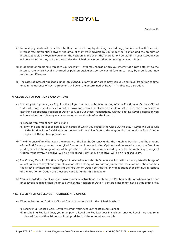# **AYOT!**

- (c) Interest payments will be settled by Royal on each day by debiting or crediting your Account with the daily interest rate differential between the amount of interest payable by you under the Position and the amount of interest payable by Royal to you under the Position. In the event that there is no Free Margin in your Account, you acknowledge that any amount due under this Schedule is a debt due and owing by you to Royal.
- (d) In debiting or crediting interest to your Account, Royal may charge or pay you interest at a rate different to the interest rate which Royal is charged or paid on equivalent borrowings of foreign currency by a bank and may retain the difference.
- (e) The rates of interest applicable under this Schedule may be as agreed between you and Royal from time to time and, in the absence of such agreement, will be a rate determined by Royal in its absolute discretion.

#### **6. CLOSE OUT OF POSITIONS AND OPTIONS**

- (a) You may at any time give Royal notice of your request to have all or any of your Positions or Options Closed Out. Following receipt of such a notice Royal may at a time it chooses in its absolute discretion, enter into a matching an opposite Position or Option to Close Out those Transactions. Without limiting Royal's discretion you acknowledge that this may occur as soon as practicable after the later of:
	- (i) receipt from you of such notice; and
	- (ii) any time and date specified in such notice at which you request the Close Out to occur, Royal will Close Out at the Market Rate for delivery on the later of the Value Date of the original Position and the Spot Date in respect of the matching Position.
- (b) The difference (if any) between the amount of the Bought Currency under the matching Position and the amount of the Sold Currency under the original Position or, in respect of an Option the difference between the Premium paid by you for the original or matching Option and the Premium received by you for the matching or original Option respectively, if positive, will be a "Realised Gain" and, if negative, will be a "Realised Loss".
- (c) The Closing Out of a Position or Option in accordance with this Schedule will constitute a complete discharge of all obligations of Royal and you will give or take delivery of any currency under that Position or Option and has the effect of immediately cancelling the Position or Option so that the only obligations that continue in respect of the Position or Option are those provided for under this Schedule.
- (d) You acknowledge that if you give Royal standing instructions to enter into a Position or Option when a particular price level is reached, then the price at which the Position or Option is entered into might not be that exact price.

#### **7. SETTLEMENT OF CLOSED OUT POSITIONS AND OPTION**

- (a) When a Position or Option is Closed Out in accordance with this Schedule which:
	- (i) results in a Realised Gain, Royal will credit your Account the Realised Gain; or
	- (ii) results in a Realised Loss, you must pay to Royal the Realised Loss in such currency as Royal may require in cleared funds within 24 hours of being advised of the amount so payable.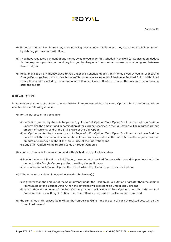# **AYOT!**

- (b) If there is then no Free Margin any amount owing by you under this Schedule may be settled in whole or in part by debiting your Account with Royal.
- (c) If you have requested payment of any money owed to you under this Schedule, Royal will (at its discretion) deduct that money from your Account and pay it to you by cheque or in such other manner as may be agreed between Royal and you.
- (d) Royal may set off any money owed to you under this Schedule against any money owed by you in respect of a Foreign Exchange Transaction. If such a set-off is made, references in this Schedule to Realised Gain and Realised Loss will be read as including the net amount of Realised Gain or Realised Loss (as the case may be) remaining after the set-off.

#### **8. REVALUATIONS**

Royal may at any time, by reference to the Market Rate, revalue all Positions and Options. Such revaluation will be effected in the following manner:

- (a) for the purpose of this Schedule:
	- (i) an Option created by the sale by you to Royal of a Call Option ("Sold Option") will be treated as a Position under which the amount and denomination of the currency specified in the Call Option will be regarded as that amount of currency sold at the Strike Price of the Call Option;
	- (ii) an Option created by the sale by you to Royal of a Put Option ("Sold Option") will be treated as a Position under which the amount and denomination of the currency specified in the Put Option will be regarded as that amount of currency bought at the Strike Price of the Put Option; and
	- (iii) any other Option will be referred to as a "Bought Option";
- (b) in order to carry out a revaluation under this Schedule, Royal will ascertain:
	- (i) in relation to each Position or Sold Option, the amount of the Sold Currency which could be purchased with the amount of the Bought Currency at the prevailing Market Rate; or
	- (ii) in relation to each Bought Option, the rate at which Royal would repurchase the Option;
- (c) if the amount calculated in accordance with sub-clause 9(b):
	- (i) is greater than the amount of the Sold Currency under the Position or Sold Option or greater than the original Premium paid for a Bought Option, then the difference will represent an Unrealised Gain; and
	- (ii) is less than the amount of the Sold Currency under the Position or Sold Option or less than the original Premium paid for a Bought Option, then the difference represents an Unrealised Loss; and
- (d) the sum of each Unrealised Gain will be the "Unrealised Gains" and the sum of each Unrealised Loss will be the "Unrealised Losses".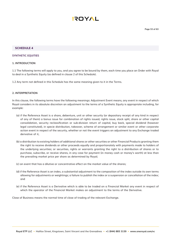

#### **SCHEDULE 4**

#### **SYNTHETIC EQUITIES**

#### **1. INTRODUCTION**

1.1 The following terms will apply to you, and you agree to be bound by them, each time you place an Order with Royal to deal in a Synthetic Equity (as defined in clause 2 of this Schedule).

1.2 Any term not defined in this Schedule has the same meaning given to it in the Terms.

#### **2. INTERPRETATION**

In this clause, the following terms have the following meanings: Adjustment Event means, any event in respect of which Royal considers in its absolute discretion an adjustment to the terms of a Synthetic Equity is appropriate including, for example:

- (a) if the Reference Asset is a share, debenture, unit or other security (or depositary receipt of any kind in respect of any of them) a bonus issue for combination of rights issued, rights issue, stock split, share or other capital consolidation, security reclassification or sub-division return of capital, buy back, special dividend (however legal constituted), in specie distribution, takeover, scheme of arrangement or similar event or other corporate action event in respect of the security, whether or not the event triggers an adjustment to any Exchange traded derivative of it,
- (b) a distribution to existing holders of additional shares or other securities or other Financial Products granting them the right to receive dividends or other proceeds equally and proportionately with payments made to holders of the underlying securities; or securities, rights or warrants granting the right to a distribution of shares or to purchase, subscribe, or receive shares, in any case for payment (in money cash or money's worth) at less than the prevailing market price per share as determined by Royal;
- (c) an event that has a dilutive or concentrative effect on the market value of the shares;
- (d) if the Reference Asset is an index, a substantial adjustment to the composition of the index outside its own terms allowing for adjustments or weightings; a failure to publish the index or a suspension or cancellation of the index; and
- (e) if the Reference Asset is a Derivative which is able to be traded on a Financial Market any event in respect of which the operator of the Financial Market makes an adjustment to the terms of the Derivative.

Close of Business means the normal time of close of trading of the relevant Exchange.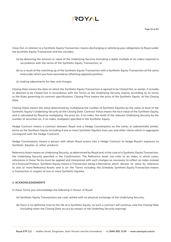Close Out, in relation to a Synthetic Equity Transaction, means discharging or satisfying your obligations to Royal under the Synthetic Equity Transaction and this includes:

- (a) by delivering the amount or value of the Underlying Security (including a dollar multiple of an index) required in accordance with the terms of the Synthetic Equity Transaction; or
- (b) as a result of the matching up of the Synthetic Equity Transaction with a Synthetic Equity Transaction of the same kind under which you have assumed an offsetting opposite position;
- (c) making adjustments for fees and charges.

Closing Date means the date on which the Synthetic Equity Transaction is agreed to be Closed Out, or earlier, if actually or deemed to be Closed Out in accordance with the Terms or the Underlying Security expires according to its terms or the Rules governing its contract specifications. Closing Price means the price of the Synthetic Equity at the Closing Date.

Closing Value means the value determined by multiplying the number of Synthetic Equities by the value or level of the Synthetic Equity's Underlying Security at the Closing Date. Contract Value means the face value of the Synthetic Equity, and is calculated by Royal by multiplying the price (or, if an index, the level) of the relevant Underlying Security by the number of securities (or, if an index, multiplier) specified in the Synthetic Equity.

Hedge Contract means a contract between Royal and a Hedge Counterparty on the same, or substantially similar, terms as the Synthetic Equity (including if one or more Synthetic Equities from you and other clients which in aggregate correspond with the Hedge Contract).

Hedge Counterparty means a person with whom Royal enters into a Hedge Contract to hedge Royal's exposure to Synthetic Equities or other products.

Reference Asset means an Underlying Security, as determined by Royal and, in the case of a Synthetic Equity Transaction, the Underlying Security specified in the Confirmation. The Reference Asset can refer to an index, in which cases, references in these Terms must be applied and interpreted with such changes as necessary to reflect an index instead of a Financial Product. Synthetic Equity means a Transaction, being a Derivative, which derives its value by reference to one or more Reference Assets and is on the Terms including this Schedule. Synthetic Equity Transaction means a Transaction in respect of one or more Synthetic Equities.

#### **3. ACKNOWLEDGEMENTS**

In these Terms you acknowledge the following in favour of Royal:

- (a) Synthetic Equity Transactions are cash settled with no physical exchange of the Underlying Security;
- (b) there is no definitive time to the life of a Synthetic Equity, so such a contract will continue until the Closing Date (including when the Closing Date occurs by reason of the Underling Security expiring).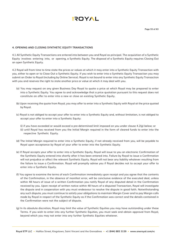

#### **4. OPENING AND CLOSING SYNTHETIC EQUITY TRANSACTIONS**

4.1 All Synthetic Equity Transactions are entered into between you and Royal as principal. The acquisition of a Synthetic Equity involves entering into, or opening, a Synthetic Equity. The disposal of a Synthetic Equity requires Closing Out an open Synthetic Equity.

4.2 Royal will from time to time state the prices or values at which it may enter into a Synthetic Equity Transaction with you, either to open or to Close Out a Synthetic Equity. If you wish to enter into a Synthetic Equity Transaction you may submit an Order to Royal (including by Online Service). Royal is not bound to enter into any Synthetic Equity Transaction with you and reserves the right to state another price or value at which it may deal with you.

- (a) You may request on any given Business Day Royal to quote a price at which Royal may be prepared to enter into a Synthetic Equity. You agree to and acknowledge that a price quotation pursuant to this request does not constitute an offer to enter into a new or close an existing Synthetic Equity.
- (b) Upon receiving the quote from Royal, you may offer to enter into a Synthetic Equity with Royal at the price quoted by Royal.
- (c) Royal is not obliged to accept your offer to enter into a Synthetic Equity and, without limitation, is not obliged to accept your offer to enter into a Synthetic Equity:
	- (i) if you have exceeded or would exceed a pre-determined limit imposed on you under clause 4.2(g) below; or (ii) until Royal has received from you the Initial Margin required in the form of cleared funds to enter into the respective Synthetic Equity.
- (d) The Initial Margin required to enter into a Synthetic Equity, if not already received from you, will be payable to Royal upon acceptance by Royal of your offer to enter into the Synthetic Equity.
- (e) If Royal accepts your offer to enter into a Synthetic Equity, Royal will issue to you an electronic Confirmation of the Synthetic Equity entered into shortly after it has been entered into. Failure by Royal to issue a Confirmation will not prejudice or affect the relevant Synthetic Equity. Royal will not bear any liability whatever resulting from the failure to issue a Confirmation. Royal will promptly advise you if Royal decides not to accept your offer to enter into a Synthetic Equity.
- (f) You agree to examine the terms of each Confirmation immediately upon receipt and you agree that the contents of the Confirmation, in the absence of manifest error, will be conclusive evidence of the executed deal, unless within 48 hours of issue of a written Confirmation you notify Royal of any disputed detail in the Confirmation received by you. Upon receipt of written notice within 48 hours of a disputed Transaction, Royal will investigate the dispute and in cooperation with you must endeavour to resolve the dispute in good faith. Notwithstanding any such dispute, you must continue to satisfy your obligations to maintain Margin Cover and to pay Margin calls made by Royal in respect of the Synthetic Equity as if the Confirmation was correct and the details contained in the Confirmation were not the subject of dispute.
- (g) In its absolute discretion, Royal may limit the value of Synthetic Equities you may have outstanding under these Terms. If you wish to enter into any further Synthetic Equities, you must seek and obtain approval from Royal, beyond which you may not enter into any further Synthetic Equities whatever.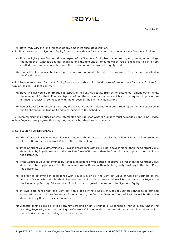### **AYOT!**

(h) Royal may vary the limit imposed at any time in its absolute discretion.

- 4.3 If Royal enters into a Synthetic Equity Transaction with you for the acquisition of one or more Synthetic Equities:
	- (a) Royal will give you a Confirmation in respect of the Synthetic Equity Transaction setting out, among other things, the number of Synthetic Equities acquired and the amount or amounts which you are required to pay, or are entitled to receive, in connection with the acquisition of the Synthetic Equity; and
	- (b) you or Royal (as applicable), must pay the relevant amount referred to in paragraph (a) by the time specified in the Confirmation.

4.4 If Royal enters into a Synthetic Equity Transaction with you for the disposal of one or more Synthetic Equities (by way of Closing Out that contract):

- (a) Royal will give you a Confirmation in respect of the Synthetic Equity Transaction setting out, among other things, the number of Synthetic Equities disposed of and the amount or amounts which you are required to pay, or are entitled to receive, in connection with the disposal of the Synthetic Equity; and
- (b) you or Royal (as applicable) must pay the relevant amount referred to in paragraph (a) by the time specified in the Confirmation or Trading Conditions, subject to this Schedule.

4.5 All communications, notices, offers, statements and Orders for Synthetic Equities must be made by an Online Service unless Royal expressly agrees that they may be made by telephone or otherwise.

#### **5. SETTLEMENT OF DIFFERENCE**

- (a) After Close of Business on each Business Day over the term of an open Synthetic Equity, Royal will determine at Close of Business the Contract Value of the Synthetic Equity.
- (b) If the Contract Value determined by Royal in accordance with clause 5(a) above is higher than the Contract Value determined by Royal in respect of the previous Close of Business, then the Short Party must pay to the Long Party the difference.
- (c) If the Contract Value determined by Royal in accordance with clause 5(a) above is lower than the Contract Value determined by Royal in respect of the previous Close of Business, then the Long Party must pay to the Short Party the difference.
- (d) In order to determine in accordance with clause 5(b) or 5(c) the Contract Value at Close of Business on the Business Day on which the Synthetic Equity is entered into, the Contract Value will be determined by Royal using the Underlying Security Price at which Royal and you agreed to enter into the Synthetic Equity.
- (e) If Royal determines that the Contract Value of a Synthetic Equity at Close of Business cannot be determined in accordance with clause 5(a) above for any reason, the Contract Value at Close of Business will be the value determined by Royal in its sole discretion.
- (f) Without limiting clause 5(e), if at any time trading on an Exchange is suspended or halted in any Underlying Security, Royal will, when determining the Contract Value, at its discretion consider (but is not limited to) the last traded price before the trading suspension or halt.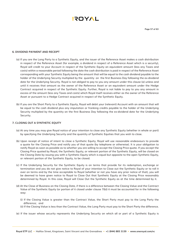

#### **6. DIVIDEND PAYMENT AND RECEIPT**

- (a) If you are the Long Party to a Synthetic Equity, and the issuer of the Reference Asset makes a cash distribution in respect of the Reference Asset (for example, a dividend in respect of a Reference Asset which is a security), Royal will credit to your Account in respect of the Synthetic Equity an equivalent amount (less any Taxes and costs) within a reasonable period following the date the cash distribution is paid in respect of the Reference Asset corresponding with your Synthetic Equity being the amount that will be equal to the cash dividend payable to the holder of the Underlying Security multiplied by the quantity on the first Business Day following the ex-dividend date for the Underlying Security. Royal is not obliged to pay to you any amount under this clause (a) unless and until it receives that amount as the owner of the Reference Asset or an equivalent amount under the Hedge Contract acquired in respect of the Synthetic Equity. Further, Royal is not liable to pay to you any amount in excess of the amount (less any Taxes and costs) which Royal itself receives either as the owner of the Reference Asset or pursuant to a Hedge Contract acquired in respect of the Synthetic Equity.
- (b) If you are the Short Party to a Synthetic Equity, Royal will debit your (relevant) Account with an amount that will be equal to the cash dividend plus any imputation or franking credits payable to the holder of the Underlying Security multiplied by the quantity on the first Business Day following the ex-dividend date for the Underlying Security.

#### **7. CLOSING OUT A SYNTHETIC EQUITY**

- (a) At any time you may give Royal notice of your intention to close any Synthetic Equity (whether in whole or part) by specifying the Underlying Security and the quantity of Synthetic Equities that you wish to close.
- (b) Upon receipt of notice of intent to close a Synthetic Equity, Royal will use reasonable endeavours to provide a quote for the Closing Price and notify you of that quote (by telephone or otherwise). It is your obligation to notify Royal as soon as possible as to whether you are willing to accept the Closing Price quote. If you accept the Closing Price quoted by Royal, the Synthetic Equity, or relevant portion of the Synthetic Equity, will be closed on the Closing Date by issuing you with a Synthetic Equity which is equal but opposite to the open Synthetic Equity, or relevant portion of the Synthetic Equity, to be closed.
- (c) If the Underlying Security for the Synthetic Equity is on terms that provide for its redemption, exchange or termination and you do not give notice to Royal of your intention to Close out the Synthetic Equity or to roll it over on terms and by the time acceptable to Royal (whether or not you have any prior notice of that), you will be deemed to have given notice to Royal to Close Out that Synthetic Equity at the Closing Price reasonably determined by Royal. In this case, Royal will Close Out the Synthetic Equity as at the time determined by it.
- (d) At the Close of Business on the Closing Date, if there is a difference between the Closing Value and the Contract Value of the Synthetic Equity (or portion of it closed under clause 7(b)) it must be accounted for in the following way:
	- (i) If the Closing Value is greater than the Contract Value, the Short Party must pay to the Long Party the difference; and
	- (ii) If the Closing Value is less than the Contract Value, the Long Party must pay to the Short Party the difference.
- (e) If the issuer whose security represents the Underlying Security on which all or part of a Synthetic Equity is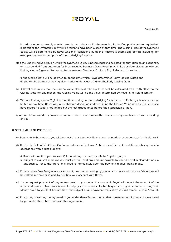

based becomes externally administered in accordance with the meaning in the Companies Act (or equivalent legislation), the Synthetic Equity will be taken to have been Closed at that time. The Closing Price of the Synthetic Equity will be determined by Royal who may consider a number of factors it deems appropriate including, for example, the last traded price of the Underlying Security.

(f) If the Underlying Security on which the Synthetic Equity is based ceases to be listed for quotation on an Exchange, or is suspended from quotation for 5 consecutive Business Days, Royal may, in its absolute discretion, without limiting clause 7(g) elect to terminate the relevant Synthetic Equity. If Royal elects to do so then:

(i) the Closing Date will be deemed to be the date which Royal determines (Early Closing Date); and (ii) you will be treated as having given notice under clause 7(a) on the Early Closing Date.

- (g) If Royal determines that the Closing Value of a Synthetic Equity cannot be calculated on or with effect on the Closing Date for any reason, the Closing Value will be the value determined by Royal in its sole discretion.
- (h) Without limiting clause 7(g), if at any time trading in the Underlying Security on an Exchange is suspended or halted at any time, Royal will, in its absolute discretion in determining the Closing Value of a Synthetic Equity, have regard to (but is not limited by) the last traded price before the suspension or halt.
- (i) All calculations made by Royal in accordance with these Terms in the absence of any manifest error will be binding on you.

#### **8. SETTLEMENT OF POSITIONS**

- (a) Payments to be made to you with respect of any Synthetic Equity must be made in accordance with this clause 8.
- (b) If a Synthetic Equity is Closed Out in accordance with clause 7 above, or settlement for difference being made in accordance with clause 5 above:
	- (i) Royal will credit to your (relevant) Account any amount payable by Royal to you; or
	- (ii) subject to clause 8(c) below you must pay to Royal any amount payable by you to Royal in cleared funds in any such currency that Royal may require immediately upon the payment request being made.
- (c) If there is any Free Margin in your Account, any amount owing by you in accordance with clause 8(b) above will be settled in whole or in part by debiting your Account with Royal.
- (d) If you request payment of any money owed to you under this clause 8, Royal will deduct the amount of the requested payment from your Account and pay you, electronically, by cheque or in any other manner as agreed. Money owed to you that has not been the subject of any payment request by you will remain in your Account.
- (e) Royal may offset any money owed to you under these Terms or any other agreement against any moneys owed by you under these Terms or any other agreement.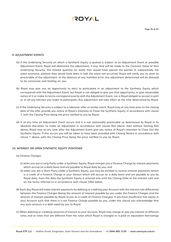

#### **9. ADJUSTMENT EVENTS**

- (a) If the Underlying Security on which a Synthetic Equity is quoted is subject to an Adjustment Event or possible Adjustment Event, Royal will determine the adjustment, if any, that will be made to the Contract Value of that Underlying Security, the related quantity (or both) that would have placed the parties in substantially the same economic position they would have been in had the event not occurred. Royal will notify you as soon as practicable of the adjustment. In the absence of any manifest error any adjustment determined will be deemed to be conclusive and binding on you.
- (b) Royal may give you an opportunity to elect to participate in an adjustment to the Synthetic Equity which corresponds with the Adjustment Event, but Royal is not obliged to give you that opportunity, or give reasonable notice of it or make its terms correspond exactly with the Adjustment Event, nor is Royal obliged to accept in part or at all any election you make to participate. Any adjustment will take effect at the time determined by Royal.
- (c) If the Underlying Security is subject to a takeover offer or similar event, Royal may at any time prior to the closing date of the offer provide you notice of Royal's intention to Close the Synthetic Equity, in accordance with clause 7, with the Closing Price being the price notified to you by Royal.
- (d) If at any time an Adjustment Event occurs and it is not reasonably practicable as determined by Royal in its absolute discretion to make an adjustment in accordance with clause 9(a) above, then without limiting 9(a) above, Royal may at any time after the Adjustment Event give you notice of Royal's intention to Close Out the Synthetic Equity. If this occurs you will be taken to have been provided with Closing Notice in accordance with clause 7 above, with the Closing Price being the price notified to you by Royal.

#### **10. INTEREST ON OPEN SYNTHETIC EQUITY POSITIONS**

- (a) Finance Charges:
	- (i) when you are a Long Party under a Synthetic Equity, Royal charges you a Finance Charge by interest payments which accrue on a daily basis and are payable to Royal daily by you; and
	- (ii) when you are a Short Party under a Synthetic Equity, you may be entitled to receive interest payments (which is a credit of a Finance Charge in your favour) which will accrue on a daily basis and are payable to you by Royal daily, from the date the Synthetic Equity is entered into until the Closing Date at the interest rate and on the terms referred to in accordance with clause 10(e) below.
- (b) Each day Royal will make interest payments by debiting or crediting your Account with the interest rate differential between the Finance Charges (being the amount of interest payable by you under the Finance Charges and the amount of interest payable by Royal to you as a credit of Finance Charges). If you have insufficient free equity in your Account such that there is a net Finance Charge payable by you, under this clause you acknowledge that any such amount is a debt owed by you to Royal.
- (c) When debiting or crediting amounts of interest to your Account, Royal may charge or pay you interest at different rates and at rates that are different from the rates which Royal is charged or is paid on equivalent borrowings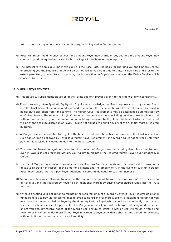

from its bank or any other client or counterparty, including Hedge Counterparties.

- (d) Royal will retain the difference between the amount Royal may charge or pay you and the amount Royal may charge or paid on equivalent or similar borrowings with its bank or counterparty.
- (e) The interest rate applicable under this clause is the Base Rate. The basis for charging you the Finance Charge or crediting you the Finance Charge will be as notified to you from time to time, including by a PDS or to the extent permitted, by email to you or posting the information on Royal's website or on the Online Service which is accessible by you.

#### **11. MARGIN REQUIREMENTS**

- (a) This clause 11 supplements clause 15 of the Terms and only prevails over it to the extent of any inconsistency.
- (b) Prior to entering into a Synthetic Equity with Royal you acknowledge that Royal requires you to pay cleared funds into the Trust Account as an Initial Margin and to maintain the minimum Margin Cover determined by Royal in its absolute discretion from time to time. The Margin Cover requirements may be determined automatically by an Online Service. The required Margin Cover may change at any time, including outside of trading hours and without prior notice to you. The amount of Initial Margin required by Royal and the time at which it is required will be at the absolute discretion of Royal. Royal is not obliged to permit any offset of any Initial Margin required by Royal.
- (c) A Margin payment is credited by Royal at the time cleared funds have been received into the Trust Account or such earlier time as allowed by Royal so a Margin Cover requirement or a Margin call is not satisfied until your payment is received in cleared funds into the Trust Account.
- (d) You have an absolute obligation to maintain the amount of Margin Cover required by Royal from time to time, even if Royal also calls for more Margin. Your failure to maintain the required Margin Cover is automatically a Default.
- (e) The Initial Margin requirement applicable in respect of any Synthetic Equity may be increased by Royal in its absolute discretion in respect of the time for payment and the amount of it. In the event of such an increase Royal may require that you pay Royal additional cleared funds equal to such an increase.
- (f) Without affecting your obligation to maintain the required amount of Margin Cover, at any time in the discretion of Royal you may be required by Royal to pay additional Margin by paying Royal cleared funds into the Trust Account.
- (g) Without affecting your obligation to maintain the required amount of Margin Cover, if Royal requires additional funds from you to pay Margin (sometimes referred to as "calling for more Margin") or making a Margin call you must pay the amount called by Royal by the time required by Royal, which could be immediately. If no time is specified, the time specified for payment of the Margin is within 24 hours of the Margin call being made, whether or not you actually receive notice of the Margin call. Failure to satisfy a Margin call will result in you being taken to be in Default under these Terms. Royal may require payment within a shorter time period (for example, without limitation, when there is Unusual Volatility).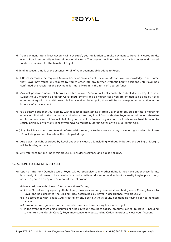- (h) Your payment into a Trust Account will not satisfy your obligation to make payment to Royal in cleared funds, even if Royal temporarily waives reliance on this term. The payment obligation is not satisfied unless and cleared funds are received for the benefit of Royal.
- (i) In all respects, time is of the essence for all of your payment obligations to Royal.
- (j) If Royal increases the required Margin Cover or makes a call for more Margin, you acknowledge and agree that Royal may refuse any request by you to enter into any further Synthetic Equity positions until Royal has confirmed the receipt of the payment for more Margin in the form of cleared funds.
- (k) Any net positive amount of Margin credited to your Account will not constitute a debt due by Royal to you. Subject to you meeting all Margin Cover requirements and all Margin calls, you are entitled to be paid by Royal an amount equal to the Withdrawable Funds and, on being paid, there will be a corresponding reduction in the balance of your Account.
- (l) You acknowledge that your liability with respect to maintaining Margin Cover or to pay calls for more Margin (if any) is not limited to the amount you initially or later pay Royal. You authorise Royal to withdraw or otherwise apply funds or Financial Products held for your benefit by Royal in any Account, or funds in any Trust Account, to satisfy partially or fully any liability you have to maintain Margin Cover or to pay a Margin Call.
- (m) Royal will have sole, absolute and unfettered discretion, as to the exercise of any power or right under this clause 11, including, without limitation, the calling of Margin.
- (n) Any power or right exercised by Royal under this clause 11, including, without limitation, the calling of Margin, will be binding upon you.
- (o) Any reference to time under this clause 11 includes weekends and public holidays.

#### **12. ACTIONS FOLLOWING A DEFAULT**

- (a) Upon or after any Default occurs, Royal, without prejudice to any other rights it may have under these Terms, has the right and power in its sole absolute and unfettered discretion and without necessity to give prior or any notice to you to do any one or more of the following:
	- (i) in accordance with clause 15 terminate these Terms;
	- (ii) Close Out all or any open Synthetic Equity positions you may have as if you had given a Closing Notice to Royal and had accepted the Closing Price determined by Royal in accordance with clause 7;
	- (iii) in accordance with clause 12(d) treat all or any open Synthetic Equity positions as having been terminated by you;
	- (iv) terminate any agreement or account whatever you have or may have with Royal;
	- (v) in the event of there being insufficient funds in your Account to satisfy amounts owing to Royal (including to maintain the Margin Cover), Royal may cancel any outstanding Orders in order to close your Account;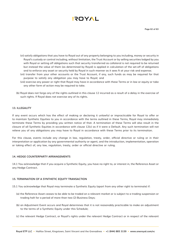- (vi) satisfy obligations that you have to Royal out of any property belonging to you including, money or security in Royal's custody or control including, without limitation, the Trust Account or by selling securities lodged by you with Royal or setting off obligations such that security transferred as collateral is not required to be returned but instead the value of them (as determined by Royal) is applied in calculation of the set-off of obligations and to enforce any asset or security held by Royal in such manner as it sees ft at your risk and expense;
- (vii) transfer from your other accounts or the Trust Account, if any, such funds as may be required for that purpose to satisfy any obligation you may have to Royal; and
- (viii) exercise any power or right that Royal may have in accordance with these Terms or in law or equity or take any other form of action may be required to take.
- (b) Royal does not forgo any of the rights outlined in this clause 12 incurred as a result of a delay in the exercise of such rights. If Royal does not exercise any of its rights.

#### **13. ILLEGALITY**

If any event occurs which has the effect of making or declaring it unlawful or impracticable for Royal to offer or to maintain Synthetic Equities to you in accordance with the terms outlined in these Terms, Royal may immediately terminate these Terms by providing you written notice of that. A termination of these Terms will also result in the closure of all Synthetic Equities in accordance with clause 12(c) as if it were a Default. Any such termination will not relieve you of any obligations you may have to Royal in accordance with these Terms prior to its termination.

For this clause, events include any change in law, regulation, treaty, order, official directive or ruling or in their interpretation or application by any governmental authority or agent, and the introduction, implementation, operation or taking effect of, any law, regulation, treaty, order or official directive or ruling.

#### **14. HEDGE COUNTERPARTY ARRANGEMENTS**

14.1 You acknowledge that if you acquire a Synthetic Equity, you have no right to, or interest in, the Reference Asset or any Hedge Contract.

#### **15. TERMINATION OF A SYNTHETIC EQUITY TRANSACTION**

15.1 You acknowledge that Royal may terminate a Synthetic Equity (apart from any other right to terminate) if:

- (a) the Reference Asset ceases to be able to be traded on a relevant market or is subject to a trading suspension or trading halt for a period of more than two (2) Business Days;
- (b) an Adjustment Event occurs and Royal determines that it is not reasonably practicable to make an adjustment to the terms of a Synthetic Equity under this Schedule;
- (c) the relevant Hedge Contract, or Royal's rights under the relevant Hedge Contract or in respect of the relevant